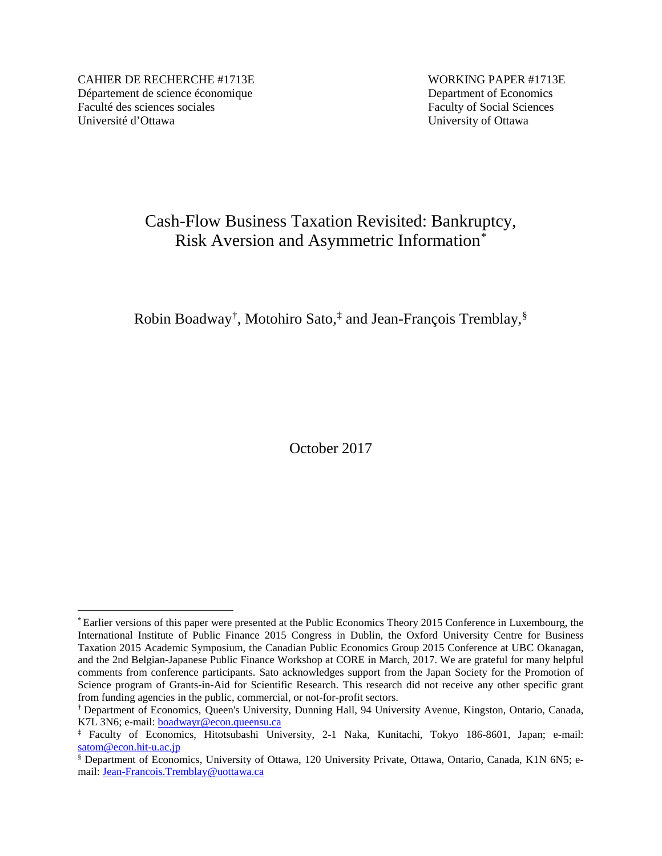CAHIER DE RECHERCHE #1713E WORKING PAPER #1713E Département de science économique Department of Economics Faculté des sciences sociales Faculty of Social Sciences Université d'Ottawa University of Ottawa

# Cash-Flow Business Taxation Revisited: Bankruptcy, Risk Aversion and Asymmetric Information[\\*](#page-0-0)

Robin Boadway[†](#page-0-1) , Motohiro Sato,[‡](#page-0-2) and Jean-François Tremblay,[§](#page-0-3)

October 2017

<span id="page-0-0"></span> <sup>\*</sup> Earlier versions of this paper were presented at the Public Economics Theory 2015 Conference in Luxembourg, the International Institute of Public Finance 2015 Congress in Dublin, the Oxford University Centre for Business Taxation 2015 Academic Symposium, the Canadian Public Economics Group 2015 Conference at UBC Okanagan, and the 2nd Belgian-Japanese Public Finance Workshop at CORE in March, 2017. We are grateful for many helpful comments from conference participants. Sato acknowledges support from the Japan Society for the Promotion of Science program of Grants-in-Aid for Scientific Research. This research did not receive any other specific grant from funding agencies in the public, commercial, or not-for-profit sectors.

<span id="page-0-1"></span><sup>†</sup> Department of Economics, Queen's University, Dunning Hall, 94 University Avenue, Kingston, Ontario, Canada, K7L 3N6; e-mail: [boadwayr@econ.queensu.ca](mailto:boadwayr@econ.queensu.ca)

<span id="page-0-2"></span><sup>‡</sup> Faculty of Economics, Hitotsubashi University, 2-1 Naka, Kunitachi, Tokyo 186-8601, Japan; e-mail: [satom@econ.hit-u.ac.jp](mailto:satom@econ.hit-u.ac.jp)

<span id="page-0-3"></span><sup>§</sup> Department of Economics, University of Ottawa, 120 University Private, Ottawa, Ontario, Canada, K1N 6N5; email: [Jean-Francois.Tremblay@uottawa.ca](mailto:Jean-Francois.Tremblay@uottawa.ca)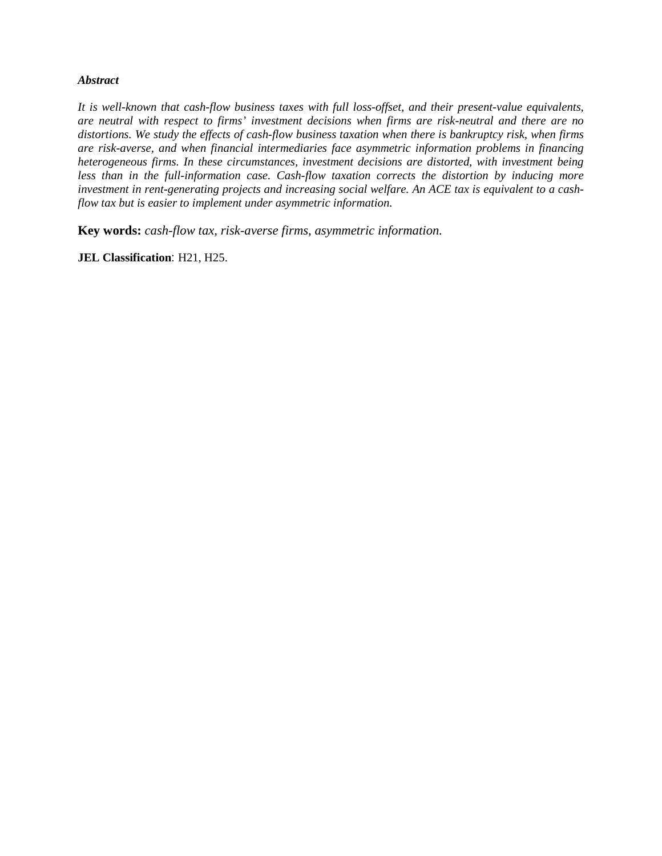### *Abstract*

*It is well-known that cash-flow business taxes with full loss-offset, and their present-value equivalents, are neutral with respect to firms' investment decisions when firms are risk-neutral and there are no distortions. We study the effects of cash-flow business taxation when there is bankruptcy risk, when firms are risk-averse, and when financial intermediaries face asymmetric information problems in financing heterogeneous firms. In these circumstances, investment decisions are distorted, with investment being less than in the full-information case. Cash-flow taxation corrects the distortion by inducing more investment in rent-generating projects and increasing social welfare. An ACE tax is equivalent to a cashflow tax but is easier to implement under asymmetric information.*

**Key words:** *cash-flow tax, risk-averse firms, asymmetric information.*

**JEL Classification**: H21, H25.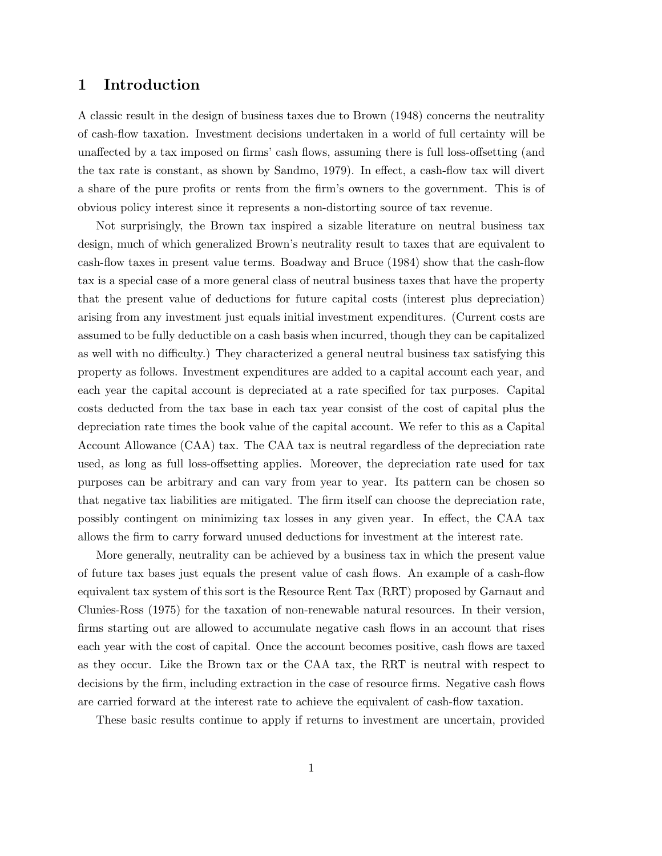### 1 Introduction

A classic result in the design of business taxes due to Brown (1948) concerns the neutrality of cash-flow taxation. Investment decisions undertaken in a world of full certainty will be unaffected by a tax imposed on firms' cash flows, assuming there is full loss-offsetting (and the tax rate is constant, as shown by Sandmo, 1979). In effect, a cash-flow tax will divert a share of the pure profits or rents from the firm's owners to the government. This is of obvious policy interest since it represents a non-distorting source of tax revenue.

Not surprisingly, the Brown tax inspired a sizable literature on neutral business tax design, much of which generalized Brown's neutrality result to taxes that are equivalent to cash-flow taxes in present value terms. Boadway and Bruce (1984) show that the cash-flow tax is a special case of a more general class of neutral business taxes that have the property that the present value of deductions for future capital costs (interest plus depreciation) arising from any investment just equals initial investment expenditures. (Current costs are assumed to be fully deductible on a cash basis when incurred, though they can be capitalized as well with no difficulty.) They characterized a general neutral business tax satisfying this property as follows. Investment expenditures are added to a capital account each year, and each year the capital account is depreciated at a rate specified for tax purposes. Capital costs deducted from the tax base in each tax year consist of the cost of capital plus the depreciation rate times the book value of the capital account. We refer to this as a Capital Account Allowance (CAA) tax. The CAA tax is neutral regardless of the depreciation rate used, as long as full loss-offsetting applies. Moreover, the depreciation rate used for tax purposes can be arbitrary and can vary from year to year. Its pattern can be chosen so that negative tax liabilities are mitigated. The firm itself can choose the depreciation rate, possibly contingent on minimizing tax losses in any given year. In effect, the CAA tax allows the firm to carry forward unused deductions for investment at the interest rate.

More generally, neutrality can be achieved by a business tax in which the present value of future tax bases just equals the present value of cash flows. An example of a cash-flow equivalent tax system of this sort is the Resource Rent Tax (RRT) proposed by Garnaut and Clunies-Ross (1975) for the taxation of non-renewable natural resources. In their version, firms starting out are allowed to accumulate negative cash flows in an account that rises each year with the cost of capital. Once the account becomes positive, cash flows are taxed as they occur. Like the Brown tax or the CAA tax, the RRT is neutral with respect to decisions by the firm, including extraction in the case of resource firms. Negative cash flows are carried forward at the interest rate to achieve the equivalent of cash-flow taxation.

These basic results continue to apply if returns to investment are uncertain, provided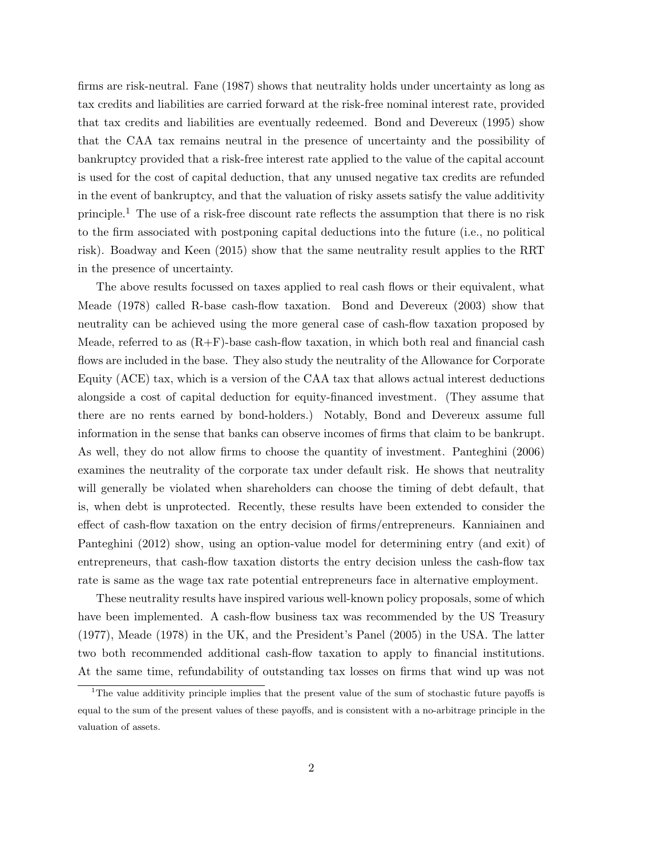firms are risk-neutral. Fane (1987) shows that neutrality holds under uncertainty as long as tax credits and liabilities are carried forward at the risk-free nominal interest rate, provided that tax credits and liabilities are eventually redeemed. Bond and Devereux (1995) show that the CAA tax remains neutral in the presence of uncertainty and the possibility of bankruptcy provided that a risk-free interest rate applied to the value of the capital account is used for the cost of capital deduction, that any unused negative tax credits are refunded in the event of bankruptcy, and that the valuation of risky assets satisfy the value additivity principle.<sup>1</sup> The use of a risk-free discount rate reflects the assumption that there is no risk to the firm associated with postponing capital deductions into the future (i.e., no political risk). Boadway and Keen (2015) show that the same neutrality result applies to the RRT in the presence of uncertainty.

The above results focussed on taxes applied to real cash flows or their equivalent, what Meade (1978) called R-base cash-flow taxation. Bond and Devereux (2003) show that neutrality can be achieved using the more general case of cash-flow taxation proposed by Meade, referred to as  $(R+F)$ -base cash-flow taxation, in which both real and financial cash flows are included in the base. They also study the neutrality of the Allowance for Corporate Equity (ACE) tax, which is a version of the CAA tax that allows actual interest deductions alongside a cost of capital deduction for equity-financed investment. (They assume that there are no rents earned by bond-holders.) Notably, Bond and Devereux assume full information in the sense that banks can observe incomes of firms that claim to be bankrupt. As well, they do not allow firms to choose the quantity of investment. Panteghini (2006) examines the neutrality of the corporate tax under default risk. He shows that neutrality will generally be violated when shareholders can choose the timing of debt default, that is, when debt is unprotected. Recently, these results have been extended to consider the effect of cash-flow taxation on the entry decision of firms/entrepreneurs. Kanniainen and Panteghini (2012) show, using an option-value model for determining entry (and exit) of entrepreneurs, that cash-flow taxation distorts the entry decision unless the cash-flow tax rate is same as the wage tax rate potential entrepreneurs face in alternative employment.

These neutrality results have inspired various well-known policy proposals, some of which have been implemented. A cash-flow business tax was recommended by the US Treasury (1977), Meade (1978) in the UK, and the President's Panel (2005) in the USA. The latter two both recommended additional cash-flow taxation to apply to financial institutions. At the same time, refundability of outstanding tax losses on firms that wind up was not

<sup>&</sup>lt;sup>1</sup>The value additivity principle implies that the present value of the sum of stochastic future payoffs is equal to the sum of the present values of these payoffs, and is consistent with a no-arbitrage principle in the valuation of assets.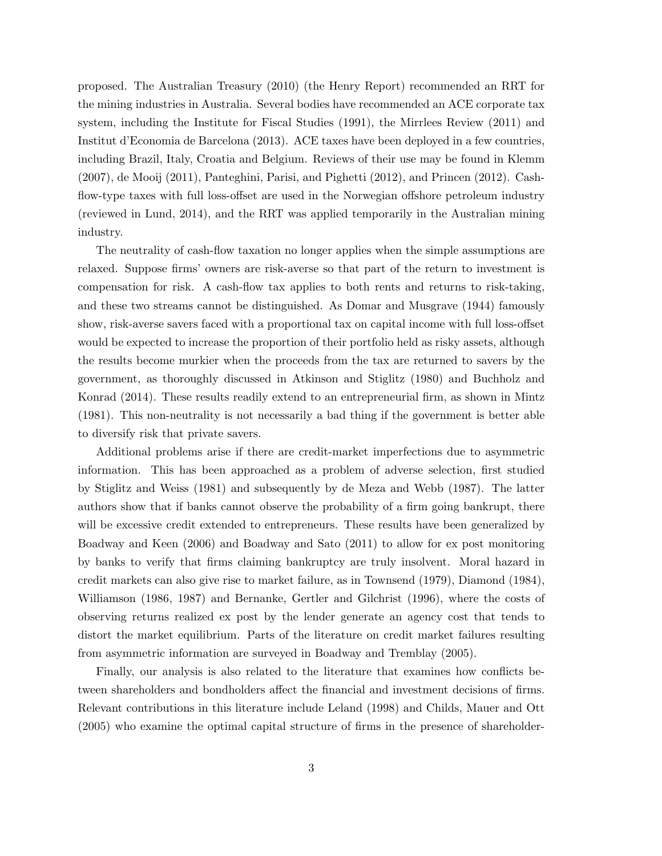proposed. The Australian Treasury (2010) (the Henry Report) recommended an RRT for the mining industries in Australia. Several bodies have recommended an ACE corporate tax system, including the Institute for Fiscal Studies (1991), the Mirrlees Review (2011) and Institut d'Economia de Barcelona (2013). ACE taxes have been deployed in a few countries, including Brazil, Italy, Croatia and Belgium. Reviews of their use may be found in Klemm (2007), de Mooij (2011), Panteghini, Parisi, and Pighetti (2012), and Princen (2012). Cashflow-type taxes with full loss-offset are used in the Norwegian offshore petroleum industry (reviewed in Lund, 2014), and the RRT was applied temporarily in the Australian mining industry.

The neutrality of cash-flow taxation no longer applies when the simple assumptions are relaxed. Suppose firms' owners are risk-averse so that part of the return to investment is compensation for risk. A cash-flow tax applies to both rents and returns to risk-taking, and these two streams cannot be distinguished. As Domar and Musgrave (1944) famously show, risk-averse savers faced with a proportional tax on capital income with full loss-offset would be expected to increase the proportion of their portfolio held as risky assets, although the results become murkier when the proceeds from the tax are returned to savers by the government, as thoroughly discussed in Atkinson and Stiglitz (1980) and Buchholz and Konrad (2014). These results readily extend to an entrepreneurial firm, as shown in Mintz (1981). This non-neutrality is not necessarily a bad thing if the government is better able to diversify risk that private savers.

Additional problems arise if there are credit-market imperfections due to asymmetric information. This has been approached as a problem of adverse selection, first studied by Stiglitz and Weiss (1981) and subsequently by de Meza and Webb (1987). The latter authors show that if banks cannot observe the probability of a firm going bankrupt, there will be excessive credit extended to entrepreneurs. These results have been generalized by Boadway and Keen (2006) and Boadway and Sato (2011) to allow for ex post monitoring by banks to verify that firms claiming bankruptcy are truly insolvent. Moral hazard in credit markets can also give rise to market failure, as in Townsend (1979), Diamond (1984), Williamson (1986, 1987) and Bernanke, Gertler and Gilchrist (1996), where the costs of observing returns realized ex post by the lender generate an agency cost that tends to distort the market equilibrium. Parts of the literature on credit market failures resulting from asymmetric information are surveyed in Boadway and Tremblay (2005).

Finally, our analysis is also related to the literature that examines how conflicts between shareholders and bondholders affect the financial and investment decisions of firms. Relevant contributions in this literature include Leland (1998) and Childs, Mauer and Ott (2005) who examine the optimal capital structure of firms in the presence of shareholder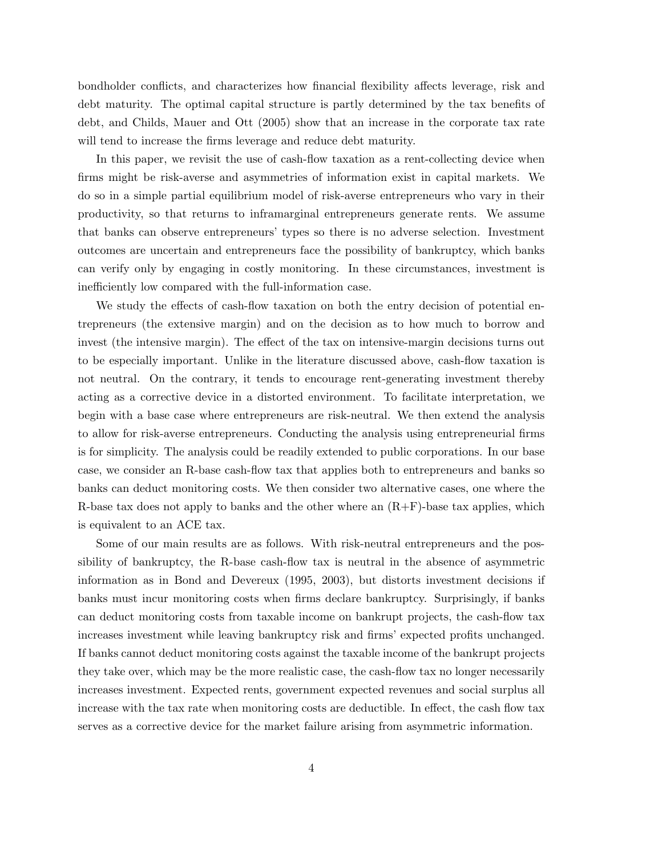bondholder conflicts, and characterizes how financial flexibility affects leverage, risk and debt maturity. The optimal capital structure is partly determined by the tax benefits of debt, and Childs, Mauer and Ott (2005) show that an increase in the corporate tax rate will tend to increase the firms leverage and reduce debt maturity.

In this paper, we revisit the use of cash-flow taxation as a rent-collecting device when firms might be risk-averse and asymmetries of information exist in capital markets. We do so in a simple partial equilibrium model of risk-averse entrepreneurs who vary in their productivity, so that returns to inframarginal entrepreneurs generate rents. We assume that banks can observe entrepreneurs' types so there is no adverse selection. Investment outcomes are uncertain and entrepreneurs face the possibility of bankruptcy, which banks can verify only by engaging in costly monitoring. In these circumstances, investment is inefficiently low compared with the full-information case.

We study the effects of cash-flow taxation on both the entry decision of potential entrepreneurs (the extensive margin) and on the decision as to how much to borrow and invest (the intensive margin). The effect of the tax on intensive-margin decisions turns out to be especially important. Unlike in the literature discussed above, cash-flow taxation is not neutral. On the contrary, it tends to encourage rent-generating investment thereby acting as a corrective device in a distorted environment. To facilitate interpretation, we begin with a base case where entrepreneurs are risk-neutral. We then extend the analysis to allow for risk-averse entrepreneurs. Conducting the analysis using entrepreneurial firms is for simplicity. The analysis could be readily extended to public corporations. In our base case, we consider an R-base cash-flow tax that applies both to entrepreneurs and banks so banks can deduct monitoring costs. We then consider two alternative cases, one where the R-base tax does not apply to banks and the other where an  $(R+F)$ -base tax applies, which is equivalent to an ACE tax.

Some of our main results are as follows. With risk-neutral entrepreneurs and the possibility of bankruptcy, the R-base cash-flow tax is neutral in the absence of asymmetric information as in Bond and Devereux (1995, 2003), but distorts investment decisions if banks must incur monitoring costs when firms declare bankruptcy. Surprisingly, if banks can deduct monitoring costs from taxable income on bankrupt projects, the cash-flow tax increases investment while leaving bankruptcy risk and firms' expected profits unchanged. If banks cannot deduct monitoring costs against the taxable income of the bankrupt projects they take over, which may be the more realistic case, the cash-flow tax no longer necessarily increases investment. Expected rents, government expected revenues and social surplus all increase with the tax rate when monitoring costs are deductible. In effect, the cash flow tax serves as a corrective device for the market failure arising from asymmetric information.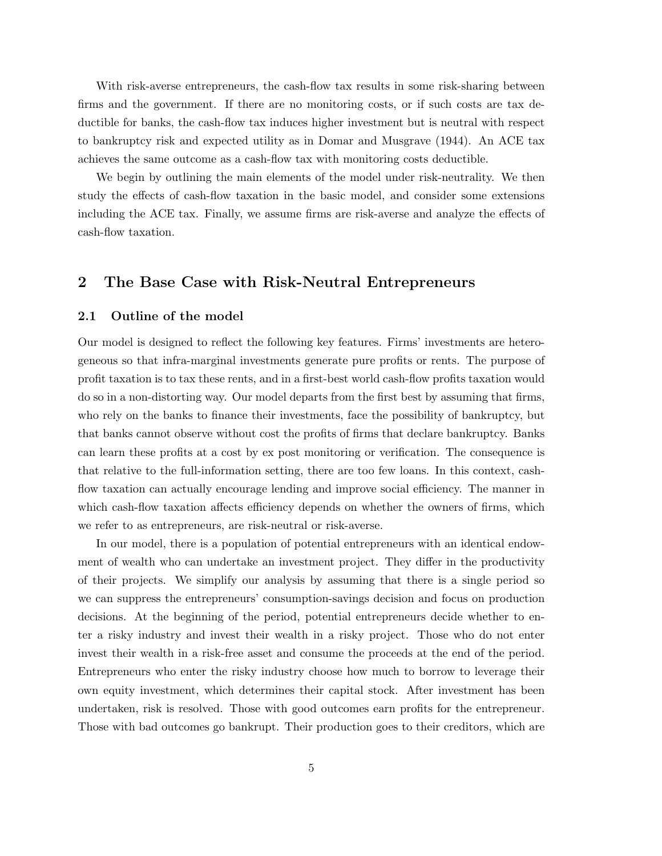With risk-averse entrepreneurs, the cash-flow tax results in some risk-sharing between firms and the government. If there are no monitoring costs, or if such costs are tax deductible for banks, the cash-flow tax induces higher investment but is neutral with respect to bankruptcy risk and expected utility as in Domar and Musgrave (1944). An ACE tax achieves the same outcome as a cash-flow tax with monitoring costs deductible.

We begin by outlining the main elements of the model under risk-neutrality. We then study the effects of cash-flow taxation in the basic model, and consider some extensions including the ACE tax. Finally, we assume firms are risk-averse and analyze the effects of cash-flow taxation.

### 2 The Base Case with Risk-Neutral Entrepreneurs

#### 2.1 Outline of the model

Our model is designed to reflect the following key features. Firms' investments are heterogeneous so that infra-marginal investments generate pure profits or rents. The purpose of profit taxation is to tax these rents, and in a first-best world cash-flow profits taxation would do so in a non-distorting way. Our model departs from the first best by assuming that firms, who rely on the banks to finance their investments, face the possibility of bankruptcy, but that banks cannot observe without cost the profits of firms that declare bankruptcy. Banks can learn these profits at a cost by ex post monitoring or verification. The consequence is that relative to the full-information setting, there are too few loans. In this context, cashflow taxation can actually encourage lending and improve social efficiency. The manner in which cash-flow taxation affects efficiency depends on whether the owners of firms, which we refer to as entrepreneurs, are risk-neutral or risk-averse.

In our model, there is a population of potential entrepreneurs with an identical endowment of wealth who can undertake an investment project. They differ in the productivity of their projects. We simplify our analysis by assuming that there is a single period so we can suppress the entrepreneurs' consumption-savings decision and focus on production decisions. At the beginning of the period, potential entrepreneurs decide whether to enter a risky industry and invest their wealth in a risky project. Those who do not enter invest their wealth in a risk-free asset and consume the proceeds at the end of the period. Entrepreneurs who enter the risky industry choose how much to borrow to leverage their own equity investment, which determines their capital stock. After investment has been undertaken, risk is resolved. Those with good outcomes earn profits for the entrepreneur. Those with bad outcomes go bankrupt. Their production goes to their creditors, which are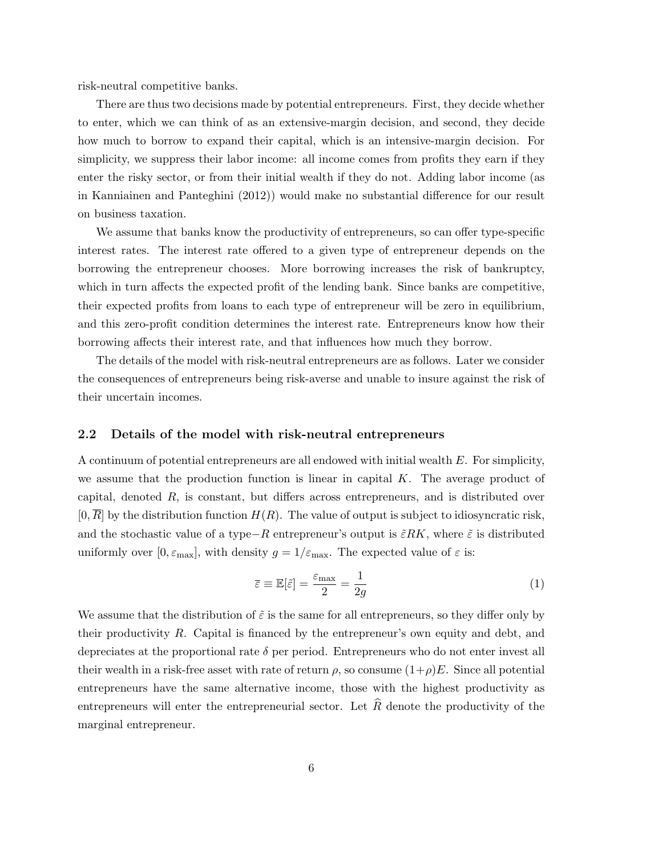risk-neutral competitive banks.

There are thus two decisions made by potential entrepreneurs. First, they decide whether to enter, which we can think of as an extensive-margin decision, and second, they decide how much to borrow to expand their capital, which is an intensive-margin decision. For simplicity, we suppress their labor income: all income comes from profits they earn if they enter the risky sector, or from their initial wealth if they do not. Adding labor income (as in Kanniainen and Panteghini (2012)) would make no substantial difference for our result on business taxation.

We assume that banks know the productivity of entrepreneurs, so can offer type-specific interest rates. The interest rate offered to a given type of entrepreneur depends on the borrowing the entrepreneur chooses. More borrowing increases the risk of bankruptcy, which in turn affects the expected profit of the lending bank. Since banks are competitive, their expected profits from loans to each type of entrepreneur will be zero in equilibrium, and this zero-profit condition determines the interest rate. Entrepreneurs know how their borrowing affects their interest rate, and that influences how much they borrow.

The details of the model with risk-neutral entrepreneurs are as follows. Later we consider the consequences of entrepreneurs being risk-averse and unable to insure against the risk of their uncertain incomes.

#### 2.2 Details of the model with risk-neutral entrepreneurs

A continuum of potential entrepreneurs are all endowed with initial wealth E. For simplicity, we assume that the production function is linear in capital  $K$ . The average product of capital, denoted  $R$ , is constant, but differs across entrepreneurs, and is distributed over  $[0, R]$  by the distribution function  $H(R)$ . The value of output is subject to idiosyncratic risk, and the stochastic value of a type–R entrepreneur's output is  $\tilde{\varepsilon}RK$ , where  $\tilde{\varepsilon}$  is distributed uniformly over  $[0, \varepsilon_{\text{max}}]$ , with density  $g = 1/\varepsilon_{\text{max}}$ . The expected value of  $\varepsilon$  is:

$$
\overline{\varepsilon} \equiv \mathbb{E}[\tilde{\varepsilon}] = \frac{\varepsilon_{\text{max}}}{2} = \frac{1}{2g} \tag{1}
$$

We assume that the distribution of  $\tilde{\varepsilon}$  is the same for all entrepreneurs, so they differ only by their productivity R. Capital is financed by the entrepreneur's own equity and debt, and depreciates at the proportional rate  $\delta$  per period. Entrepreneurs who do not enter invest all their wealth in a risk-free asset with rate of return  $\rho$ , so consume  $(1+\rho)E$ . Since all potential entrepreneurs have the same alternative income, those with the highest productivity as entrepreneurs will enter the entrepreneurial sector. Let  $\hat{R}$  denote the productivity of the marginal entrepreneur.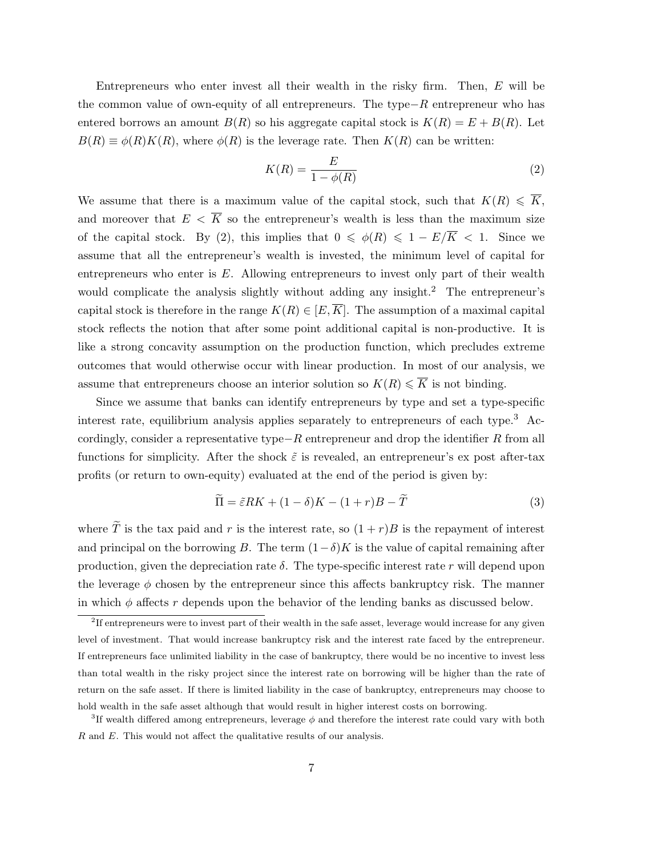Entrepreneurs who enter invest all their wealth in the risky firm. Then, E will be the common value of own-equity of all entrepreneurs. The type−R entrepreneur who has entered borrows an amount  $B(R)$  so his aggregate capital stock is  $K(R) = E + B(R)$ . Let  $B(R) \equiv \phi(R)K(R)$ , where  $\phi(R)$  is the leverage rate. Then  $K(R)$  can be written:

$$
K(R) = \frac{E}{1 - \phi(R)}\tag{2}
$$

We assume that there is a maximum value of the capital stock, such that  $K(R) \leq \overline{K}$ , and moreover that  $E < \overline{K}$  so the entrepreneur's wealth is less than the maximum size of the capital stock. By (2), this implies that  $0 \le \phi(R) \le 1 - E/\overline{K} < 1$ . Since we assume that all the entrepreneur's wealth is invested, the minimum level of capital for entrepreneurs who enter is  $E$ . Allowing entrepreneurs to invest only part of their wealth would complicate the analysis slightly without adding any insight.<sup>2</sup> The entrepreneur's capital stock is therefore in the range  $K(R) \in [E, \overline{K}]$ . The assumption of a maximal capital stock reflects the notion that after some point additional capital is non-productive. It is like a strong concavity assumption on the production function, which precludes extreme outcomes that would otherwise occur with linear production. In most of our analysis, we assume that entrepreneurs choose an interior solution so  $K(R) \leq \overline{K}$  is not binding.

Since we assume that banks can identify entrepreneurs by type and set a type-specific interest rate, equilibrium analysis applies separately to entrepreneurs of each type.<sup>3</sup> Accordingly, consider a representative type $-R$  entrepreneur and drop the identifier R from all functions for simplicity. After the shock  $\tilde{\varepsilon}$  is revealed, an entrepreneur's ex post after-tax profits (or return to own-equity) evaluated at the end of the period is given by:

$$
\widetilde{\Pi} = \widetilde{\varepsilon}RK + (1 - \delta)K - (1 + r)B - \widetilde{T}
$$
\n(3)

where  $\tilde{T}$  is the tax paid and r is the interest rate, so  $(1 + r)B$  is the repayment of interest and principal on the borrowing B. The term  $(1-\delta)K$  is the value of capital remaining after production, given the depreciation rate  $\delta$ . The type-specific interest rate r will depend upon the leverage  $\phi$  chosen by the entrepreneur since this affects bankruptcy risk. The manner in which  $\phi$  affects r depends upon the behavior of the lending banks as discussed below.

<sup>&</sup>lt;sup>2</sup>If entrepreneurs were to invest part of their wealth in the safe asset, leverage would increase for any given level of investment. That would increase bankruptcy risk and the interest rate faced by the entrepreneur. If entrepreneurs face unlimited liability in the case of bankruptcy, there would be no incentive to invest less than total wealth in the risky project since the interest rate on borrowing will be higher than the rate of return on the safe asset. If there is limited liability in the case of bankruptcy, entrepreneurs may choose to hold wealth in the safe asset although that would result in higher interest costs on borrowing.

<sup>&</sup>lt;sup>3</sup>If wealth differed among entrepreneurs, leverage  $\phi$  and therefore the interest rate could vary with both R and E. This would not affect the qualitative results of our analysis.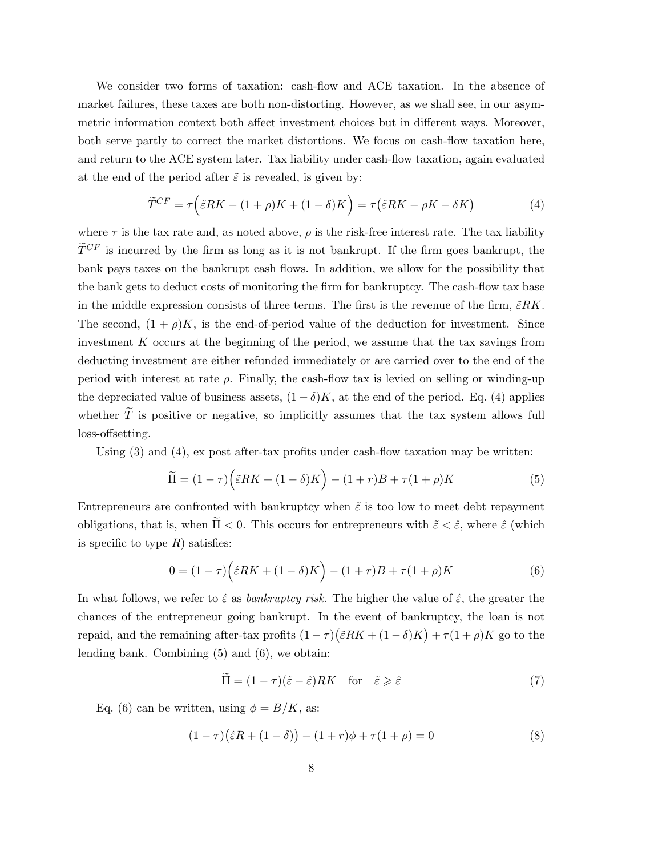We consider two forms of taxation: cash-flow and ACE taxation. In the absence of market failures, these taxes are both non-distorting. However, as we shall see, in our asymmetric information context both affect investment choices but in different ways. Moreover, both serve partly to correct the market distortions. We focus on cash-flow taxation here, and return to the ACE system later. Tax liability under cash-flow taxation, again evaluated at the end of the period after  $\tilde{\varepsilon}$  is revealed, is given by:

$$
\widetilde{T}^{CF} = \tau \Big(\widetilde{\varepsilon}RK - (1+\rho)K + (1-\delta)K\Big) = \tau \big(\widetilde{\varepsilon}RK - \rho K - \delta K\big) \tag{4}
$$

where  $\tau$  is the tax rate and, as noted above,  $\rho$  is the risk-free interest rate. The tax liability  $\widetilde{T}^{CF}$  is incurred by the firm as long as it is not bankrupt. If the firm goes bankrupt, the bank pays taxes on the bankrupt cash flows. In addition, we allow for the possibility that the bank gets to deduct costs of monitoring the firm for bankruptcy. The cash-flow tax base in the middle expression consists of three terms. The first is the revenue of the firm,  $\tilde{\varepsilon}RK$ . The second,  $(1 + \rho)K$ , is the end-of-period value of the deduction for investment. Since investment K occurs at the beginning of the period, we assume that the tax savings from deducting investment are either refunded immediately or are carried over to the end of the period with interest at rate  $\rho$ . Finally, the cash-flow tax is levied on selling or winding-up the depreciated value of business assets,  $(1 - \delta)K$ , at the end of the period. Eq. (4) applies whether  $\tilde{T}$  is positive or negative, so implicitly assumes that the tax system allows full loss-offsetting.

Using (3) and (4), ex post after-tax profits under cash-flow taxation may be written:

$$
\widetilde{\Pi} = (1 - \tau) \left( \widetilde{\varepsilon} RK + (1 - \delta)K \right) - (1 + r)B + \tau (1 + \rho)K \tag{5}
$$

Entrepreneurs are confronted with bankruptcy when  $\tilde{\varepsilon}$  is too low to meet debt repayment obligations, that is, when  $\Pi < 0$ . This occurs for entrepreneurs with  $\tilde{\varepsilon} < \hat{\varepsilon}$ , where  $\hat{\varepsilon}$  (which is specific to type  $R$ ) satisfies:

$$
0 = (1 - \tau) \left(\hat{\varepsilon} RK + (1 - \delta)K\right) - (1 + r)B + \tau (1 + \rho)K\tag{6}
$$

In what follows, we refer to  $\hat{\varepsilon}$  as *bankruptcy risk*. The higher the value of  $\hat{\varepsilon}$ , the greater the chances of the entrepreneur going bankrupt. In the event of bankruptcy, the loan is not repaid, and the remaining after-tax profits  $(1 - \tau)(\tilde{\varepsilon}RK + (1 - \delta)K) + \tau(1 + \rho)K$  go to the lending bank. Combining (5) and (6), we obtain:

$$
\widetilde{\Pi} = (1 - \tau)(\widetilde{\varepsilon} - \widehat{\varepsilon})RK \quad \text{for} \quad \widetilde{\varepsilon} \geqslant \widehat{\varepsilon} \tag{7}
$$

Eq. (6) can be written, using  $\phi = B/K$ , as:

$$
(1 - \tau)(\hat{\varepsilon}R + (1 - \delta)) - (1 + r)\phi + \tau(1 + \rho) = 0
$$
\n(8)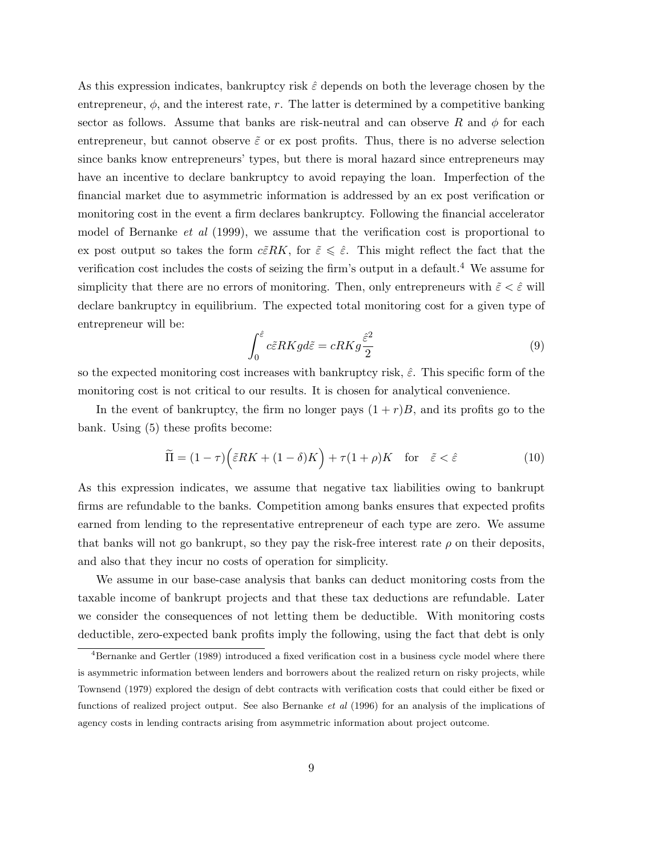As this expression indicates, bankruptcy risk  $\hat{\varepsilon}$  depends on both the leverage chosen by the entrepreneur,  $\phi$ , and the interest rate, r. The latter is determined by a competitive banking sector as follows. Assume that banks are risk-neutral and can observe R and  $\phi$  for each entrepreneur, but cannot observe  $\tilde{\varepsilon}$  or ex post profits. Thus, there is no adverse selection since banks know entrepreneurs' types, but there is moral hazard since entrepreneurs may have an incentive to declare bankruptcy to avoid repaying the loan. Imperfection of the financial market due to asymmetric information is addressed by an ex post verification or monitoring cost in the event a firm declares bankruptcy. Following the financial accelerator model of Bernanke *et al* (1999), we assume that the verification cost is proportional to ex post output so takes the form  $c\tilde{\epsilon}RK$ , for  $\tilde{\epsilon} \leq \tilde{\epsilon}$ . This might reflect the fact that the verification cost includes the costs of seizing the firm's output in a default.<sup>4</sup> We assume for simplicity that there are no errors of monitoring. Then, only entrepreneurs with  $\tilde{\varepsilon} < \hat{\varepsilon}$  will declare bankruptcy in equilibrium. The expected total monitoring cost for a given type of entrepreneur will be:

$$
\int_0^{\hat{\varepsilon}} c \tilde{\varepsilon} R K g d\tilde{\varepsilon} = c R K g \frac{\hat{\varepsilon}^2}{2}
$$
\n(9)

so the expected monitoring cost increases with bankruptcy risk,  $\hat{\varepsilon}$ . This specific form of the monitoring cost is not critical to our results. It is chosen for analytical convenience.

In the event of bankruptcy, the firm no longer pays  $(1 + r)B$ , and its profits go to the bank. Using (5) these profits become:

$$
\widetilde{\Pi} = (1 - \tau) \left( \widetilde{\varepsilon} RK + (1 - \delta)K \right) + \tau (1 + \rho)K \quad \text{for} \quad \widetilde{\varepsilon} < \widehat{\varepsilon} \tag{10}
$$

As this expression indicates, we assume that negative tax liabilities owing to bankrupt firms are refundable to the banks. Competition among banks ensures that expected profits earned from lending to the representative entrepreneur of each type are zero. We assume that banks will not go bankrupt, so they pay the risk-free interest rate  $\rho$  on their deposits, and also that they incur no costs of operation for simplicity.

We assume in our base-case analysis that banks can deduct monitoring costs from the taxable income of bankrupt projects and that these tax deductions are refundable. Later we consider the consequences of not letting them be deductible. With monitoring costs deductible, zero-expected bank profits imply the following, using the fact that debt is only

<sup>&</sup>lt;sup>4</sup>Bernanke and Gertler (1989) introduced a fixed verification cost in a business cycle model where there is asymmetric information between lenders and borrowers about the realized return on risky projects, while Townsend (1979) explored the design of debt contracts with verification costs that could either be fixed or functions of realized project output. See also Bernanke et al (1996) for an analysis of the implications of agency costs in lending contracts arising from asymmetric information about project outcome.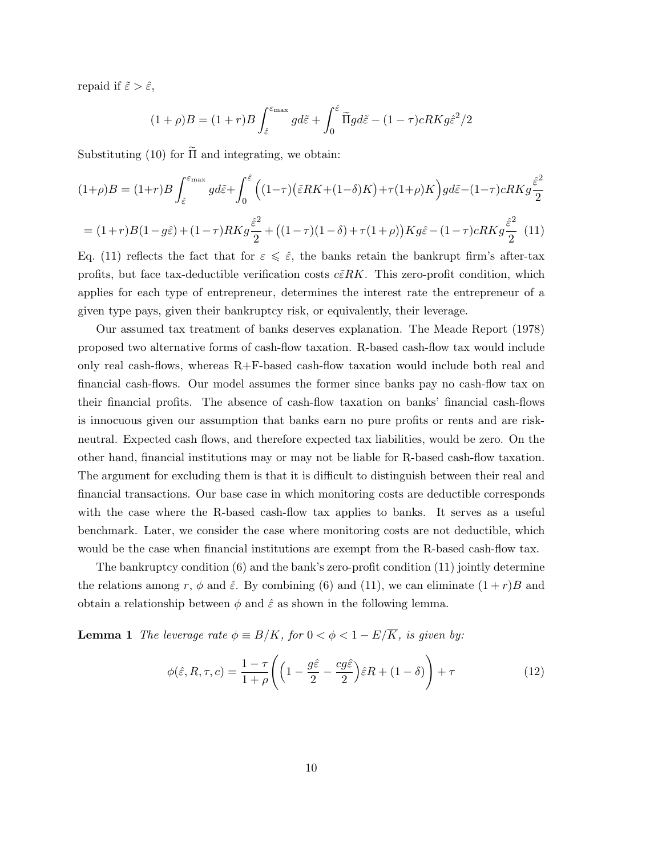repaid if  $\tilde{\varepsilon} > \hat{\varepsilon}$ ,

$$
(1+\rho)B = (1+r)B \int_{\hat{\varepsilon}}^{\varepsilon_{\text{max}}} g d\tilde{\varepsilon} + \int_0^{\hat{\varepsilon}} \tilde{\Pi} g d\tilde{\varepsilon} - (1-\tau)cRK g \hat{\varepsilon}^2 / 2
$$

Substituting (10) for  $\tilde{\Pi}$  and integrating, we obtain:

$$
(1+\rho)B = (1+r)B \int_{\hat{\varepsilon}}^{\varepsilon_{\max}} g d\tilde{\varepsilon} + \int_0^{\hat{\varepsilon}} \left( (1-\tau) \left( \tilde{\varepsilon} RK + (1-\delta)K \right) + \tau (1+\rho)K \right) g d\tilde{\varepsilon} - (1-\tau)cRKg \frac{\hat{\varepsilon}^2}{2}
$$

$$
= (1+r)B(1-g\hat{\varepsilon}) + (1-\tau)RKg \frac{\hat{\varepsilon}^2}{2} + \left( (1-\tau)(1-\delta) + \tau (1+\rho) \right) Kg\hat{\varepsilon} - (1-\tau)cRKg \frac{\hat{\varepsilon}^2}{2} \tag{11}
$$

Eq. (11) reflects the fact that for  $\varepsilon \leq \hat{\varepsilon}$ , the banks retain the bankrupt firm's after-tax profits, but face tax-deductible verification costs  $c\tilde{\epsilon}RK$ . This zero-profit condition, which applies for each type of entrepreneur, determines the interest rate the entrepreneur of a given type pays, given their bankruptcy risk, or equivalently, their leverage.

Our assumed tax treatment of banks deserves explanation. The Meade Report (1978) proposed two alternative forms of cash-flow taxation. R-based cash-flow tax would include only real cash-flows, whereas R+F-based cash-flow taxation would include both real and financial cash-flows. Our model assumes the former since banks pay no cash-flow tax on their financial profits. The absence of cash-flow taxation on banks' financial cash-flows is innocuous given our assumption that banks earn no pure profits or rents and are riskneutral. Expected cash flows, and therefore expected tax liabilities, would be zero. On the other hand, financial institutions may or may not be liable for R-based cash-flow taxation. The argument for excluding them is that it is difficult to distinguish between their real and financial transactions. Our base case in which monitoring costs are deductible corresponds with the case where the R-based cash-flow tax applies to banks. It serves as a useful benchmark. Later, we consider the case where monitoring costs are not deductible, which would be the case when financial institutions are exempt from the R-based cash-flow tax.

The bankruptcy condition (6) and the bank's zero-profit condition (11) jointly determine the relations among r,  $\phi$  and  $\hat{\varepsilon}$ . By combining (6) and (11), we can eliminate  $(1+r)B$  and obtain a relationship between  $\phi$  and  $\hat{\varepsilon}$  as shown in the following lemma.

**Lemma 1** The leverage rate  $\phi \equiv B/K$ , for  $0 < \phi < 1 - E/\overline{K}$ , is given by:

$$
\phi(\hat{\varepsilon}, R, \tau, c) = \frac{1 - \tau}{1 + \rho} \left( \left( 1 - \frac{g\hat{\varepsilon}}{2} - \frac{cg\hat{\varepsilon}}{2} \right) \hat{\varepsilon} R + (1 - \delta) \right) + \tau \tag{12}
$$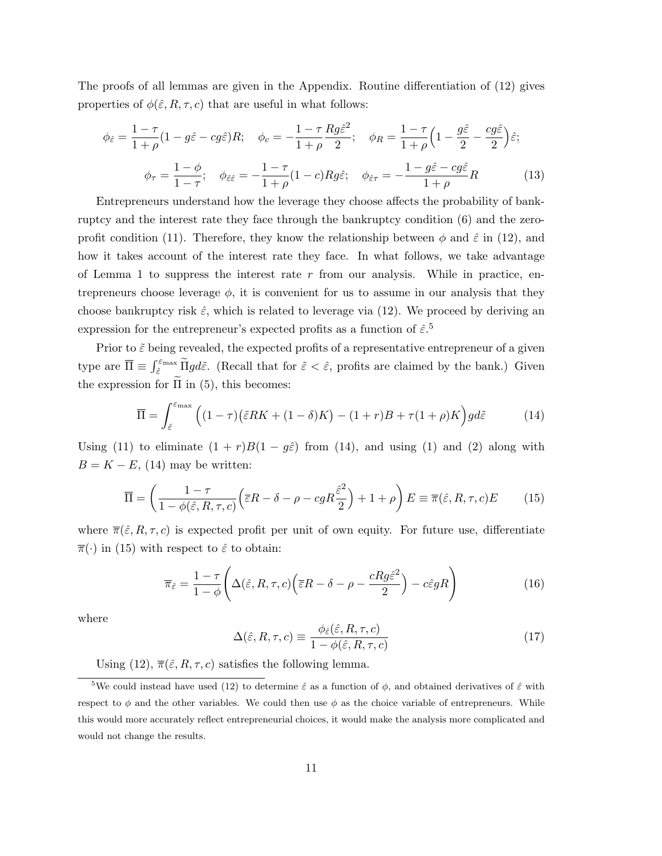The proofs of all lemmas are given in the Appendix. Routine differentiation of (12) gives properties of  $\phi(\hat{\varepsilon}, R, \tau, c)$  that are useful in what follows:

$$
\phi_{\hat{\varepsilon}} = \frac{1 - \tau}{1 + \rho} (1 - g\hat{\varepsilon} - cg\hat{\varepsilon}) R; \quad \phi_c = -\frac{1 - \tau}{1 + \rho} \frac{Rg\hat{\varepsilon}^2}{2}; \quad \phi_R = \frac{1 - \tau}{1 + \rho} \left(1 - \frac{g\hat{\varepsilon}}{2} - \frac{cg\hat{\varepsilon}}{2}\right) \hat{\varepsilon};
$$

$$
\phi_{\tau} = \frac{1 - \phi}{1 - \tau}; \quad \phi_{\hat{\varepsilon}\hat{\varepsilon}} = -\frac{1 - \tau}{1 + \rho} (1 - c) Rg\hat{\varepsilon}; \quad \phi_{\hat{\varepsilon}\tau} = -\frac{1 - g\hat{\varepsilon} - cg\hat{\varepsilon}}{1 + \rho} R \tag{13}
$$

Entrepreneurs understand how the leverage they choose affects the probability of bankruptcy and the interest rate they face through the bankruptcy condition (6) and the zeroprofit condition (11). Therefore, they know the relationship between  $\phi$  and  $\hat{\varepsilon}$  in (12), and how it takes account of the interest rate they face. In what follows, we take advantage of Lemma 1 to suppress the interest rate  $r$  from our analysis. While in practice, entrepreneurs choose leverage  $\phi$ , it is convenient for us to assume in our analysis that they choose bankruptcy risk  $\hat{\varepsilon}$ , which is related to leverage via (12). We proceed by deriving an expression for the entrepreneur's expected profits as a function of  $\hat{\varepsilon}$ <sup>5</sup>.

Prior to  $\tilde{\varepsilon}$  being revealed, the expected profits of a representative entrepreneur of a given type are  $\overline{\Pi} \equiv \int_{\hat{\varepsilon}}^{\varepsilon_{\text{max}}} \widetilde{\Pi} g d\tilde{\varepsilon}$ . (Recall that for  $\tilde{\varepsilon} < \hat{\varepsilon}$ , profits are claimed by the bank.) Given the expression for  $\tilde{\Pi}$  in (5), this becomes:

$$
\overline{\Pi} = \int_{\hat{\varepsilon}}^{\varepsilon_{\text{max}}} \left( (1 - \tau) \left( \tilde{\varepsilon} RK + (1 - \delta)K \right) - (1 + r)B + \tau (1 + \rho)K \right) gd\tilde{\varepsilon} \tag{14}
$$

Using (11) to eliminate  $(1 + r)B(1 - g\hat{\varepsilon})$  from (14), and using (1) and (2) along with  $B = K - E$ , (14) may be written:

$$
\overline{\Pi} = \left(\frac{1-\tau}{1-\phi(\hat{\varepsilon},R,\tau,c)}\Big(\overline{\varepsilon}R - \delta - \rho - cgR\frac{\hat{\varepsilon}^2}{2}\Big) + 1 + \rho\right)E \equiv \overline{\pi}(\hat{\varepsilon},R,\tau,c)E\tag{15}
$$

where  $\overline{\pi}(\hat{\varepsilon}, R, \tau, c)$  is expected profit per unit of own equity. For future use, differentiate  $\overline{\pi}(\cdot)$  in (15) with respect to  $\hat{\varepsilon}$  to obtain:

$$
\overline{\pi}_{\hat{\varepsilon}} = \frac{1 - \tau}{1 - \phi} \Bigg( \Delta(\hat{\varepsilon}, R, \tau, c) \Big( \overline{\varepsilon} R - \delta - \rho - \frac{c R g \hat{\varepsilon}^2}{2} \Big) - c \hat{\varepsilon} g R \Bigg) \tag{16}
$$

where

$$
\Delta(\hat{\varepsilon}, R, \tau, c) \equiv \frac{\phi_{\hat{\varepsilon}}(\hat{\varepsilon}, R, \tau, c)}{1 - \phi(\hat{\varepsilon}, R, \tau, c)}
$$
(17)

Using (12),  $\overline{\pi}(\hat{\varepsilon}, R, \tau, c)$  satisfies the following lemma.

<sup>&</sup>lt;sup>5</sup>We could instead have used (12) to determine  $\hat{\varepsilon}$  as a function of  $\phi$ , and obtained derivatives of  $\hat{\varepsilon}$  with respect to  $\phi$  and the other variables. We could then use  $\phi$  as the choice variable of entrepreneurs. While this would more accurately reflect entrepreneurial choices, it would make the analysis more complicated and would not change the results.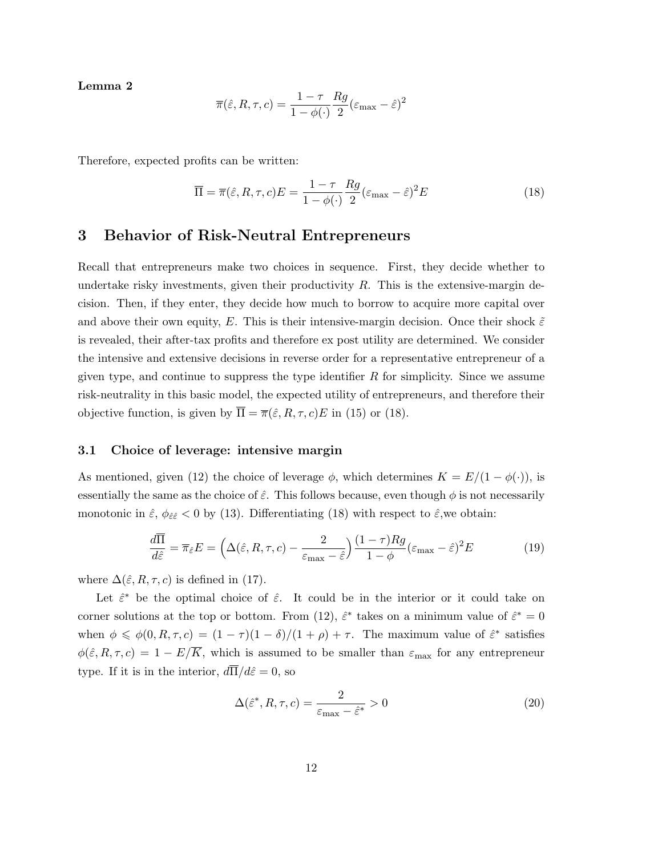Lemma 2

$$
\overline{\pi}(\hat{\varepsilon}, R, \tau, c) = \frac{1 - \tau}{1 - \phi(\cdot)} \frac{Rg}{2} (\varepsilon_{\text{max}} - \hat{\varepsilon})^2
$$

Therefore, expected profits can be written:

$$
\overline{\Pi} = \overline{\pi}(\hat{\varepsilon}, R, \tau, c) E = \frac{1 - \tau}{1 - \phi(\cdot)} \frac{Rg}{2} (\varepsilon_{\text{max}} - \hat{\varepsilon})^2 E
$$
\n(18)

### 3 Behavior of Risk-Neutral Entrepreneurs

Recall that entrepreneurs make two choices in sequence. First, they decide whether to undertake risky investments, given their productivity  $R$ . This is the extensive-margin decision. Then, if they enter, they decide how much to borrow to acquire more capital over and above their own equity, E. This is their intensive-margin decision. Once their shock  $\tilde{\varepsilon}$ is revealed, their after-tax profits and therefore ex post utility are determined. We consider the intensive and extensive decisions in reverse order for a representative entrepreneur of a given type, and continue to suppress the type identifier  $R$  for simplicity. Since we assume risk-neutrality in this basic model, the expected utility of entrepreneurs, and therefore their objective function, is given by  $\overline{\Pi} = \overline{\pi}(\hat{\varepsilon}, R, \tau, c)E$  in (15) or (18).

#### 3.1 Choice of leverage: intensive margin

As mentioned, given (12) the choice of leverage  $\phi$ , which determines  $K = E/(1 - \phi(\cdot))$ , is essentially the same as the choice of  $\hat{\varepsilon}$ . This follows because, even though  $\phi$  is not necessarily monotonic in  $\hat{\varepsilon}$ ,  $\phi_{\hat{\varepsilon}\hat{\varepsilon}}$  < 0 by (13). Differentiating (18) with respect to  $\hat{\varepsilon}$ , we obtain:

$$
\frac{d\overline{\Pi}}{d\hat{\varepsilon}} = \overline{\pi}_{\hat{\varepsilon}} E = \left(\Delta(\hat{\varepsilon}, R, \tau, c) - \frac{2}{\varepsilon_{\text{max}} - \hat{\varepsilon}}\right) \frac{(1 - \tau)Rg}{1 - \phi} (\varepsilon_{\text{max}} - \hat{\varepsilon})^2 E \tag{19}
$$

where  $\Delta(\hat{\varepsilon}, R, \tau, c)$  is defined in (17).

Let  $\hat{\varepsilon}^*$  be the optimal choice of  $\hat{\varepsilon}$ . It could be in the interior or it could take on corner solutions at the top or bottom. From (12),  $\hat{\varepsilon}^*$  takes on a minimum value of  $\hat{\varepsilon}^* = 0$ when  $\phi \leq \phi(0, R, \tau, c) = (1 - \tau)(1 - \delta)/(1 + \rho) + \tau$ . The maximum value of  $\hat{\varepsilon}^*$  satisfies  $\phi(\hat{\varepsilon}, R, \tau, c) = 1 - E/\overline{K}$ , which is assumed to be smaller than  $\varepsilon_{\text{max}}$  for any entrepreneur type. If it is in the interior,  $d\overline{\Pi}/d\hat{\varepsilon}=0$ , so

$$
\Delta(\hat{\varepsilon}^*, R, \tau, c) = \frac{2}{\varepsilon_{\text{max}} - \hat{\varepsilon}^*} > 0
$$
\n(20)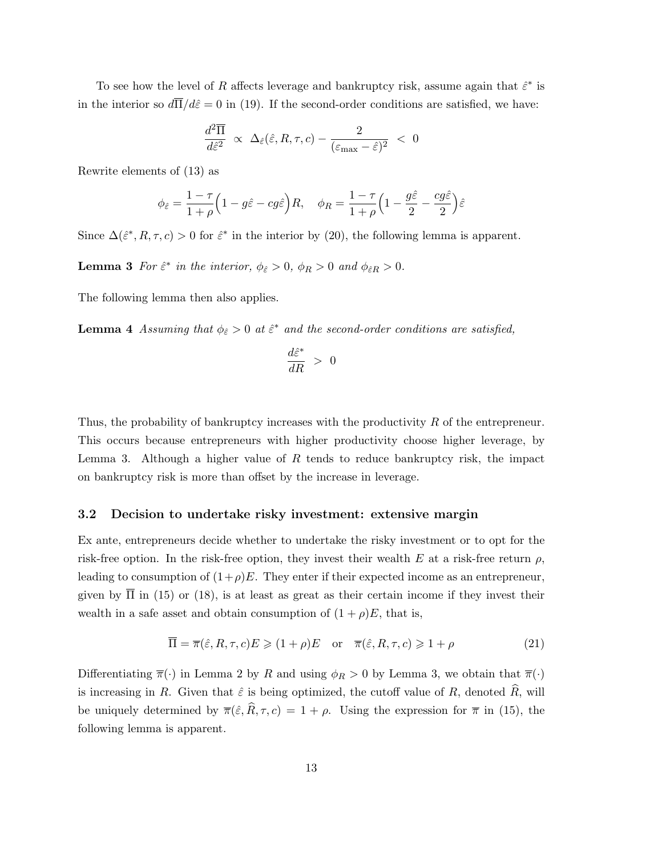To see how the level of R affects leverage and bankruptcy risk, assume again that  $\hat{\varepsilon}^*$  is in the interior so  $d\overline{\Pi}/d\hat{\varepsilon}=0$  in (19). If the second-order conditions are satisfied, we have:

$$
\frac{d^2\overline{\Pi}}{d\hat{\varepsilon}^2} \;\propto\; \Delta_{\hat{\varepsilon}}(\hat{\varepsilon},R,\tau,c) - \frac{2}{(\varepsilon_{\max}-\hat{\varepsilon})^2} \;<\; 0
$$

Rewrite elements of (13) as

$$
\phi_{\hat{\varepsilon}}=\frac{1-\tau}{1+\rho}\Big(1-g\hat{\varepsilon}-cg\hat{\varepsilon}\Big)R,\quad \phi_R=\frac{1-\tau}{1+\rho}\Big(1-\frac{g\hat{\varepsilon}}{2}-\frac{cg\hat{\varepsilon}}{2}\Big)\hat{\varepsilon}
$$

Since  $\Delta(\hat{\varepsilon}^*, R, \tau, c) > 0$  for  $\hat{\varepsilon}^*$  in the interior by (20), the following lemma is apparent.

**Lemma 3** For  $\hat{\epsilon}^*$  in the interior,  $\phi_{\hat{\epsilon}} > 0$ ,  $\phi_R > 0$  and  $\phi_{\hat{\epsilon}R} > 0$ .

The following lemma then also applies.

**Lemma 4** Assuming that  $\phi_{\hat{\varepsilon}} > 0$  at  $\hat{\varepsilon}^*$  and the second-order conditions are satisfied,

$$
\frac{d\hat{\varepsilon}^*}{dR}~>~0
$$

Thus, the probability of bankruptcy increases with the productivity R of the entrepreneur. This occurs because entrepreneurs with higher productivity choose higher leverage, by Lemma 3. Although a higher value of  $R$  tends to reduce bankruptcy risk, the impact on bankruptcy risk is more than offset by the increase in leverage.

#### 3.2 Decision to undertake risky investment: extensive margin

Ex ante, entrepreneurs decide whether to undertake the risky investment or to opt for the risk-free option. In the risk-free option, they invest their wealth E at a risk-free return  $\rho$ , leading to consumption of  $(1+\rho)E$ . They enter if their expected income as an entrepreneur, given by  $\overline{\Pi}$  in (15) or (18), is at least as great as their certain income if they invest their wealth in a safe asset and obtain consumption of  $(1 + \rho)E$ , that is,

$$
\overline{\Pi} = \overline{\pi}(\hat{\varepsilon}, R, \tau, c) E \geq (1 + \rho) E \quad \text{or} \quad \overline{\pi}(\hat{\varepsilon}, R, \tau, c) \geq 1 + \rho \tag{21}
$$

Differentiating  $\overline{\pi}(\cdot)$  in Lemma 2 by R and using  $\phi_R > 0$  by Lemma 3, we obtain that  $\overline{\pi}(\cdot)$ is increasing in R. Given that  $\hat{\varepsilon}$  is being optimized, the cutoff value of R, denoted  $\widehat{R}$ , will be uniquely determined by  $\overline{\pi}(\hat{\varepsilon}, \hat{R}, \tau, c) = 1 + \rho$ . Using the expression for  $\overline{\pi}$  in (15), the following lemma is apparent.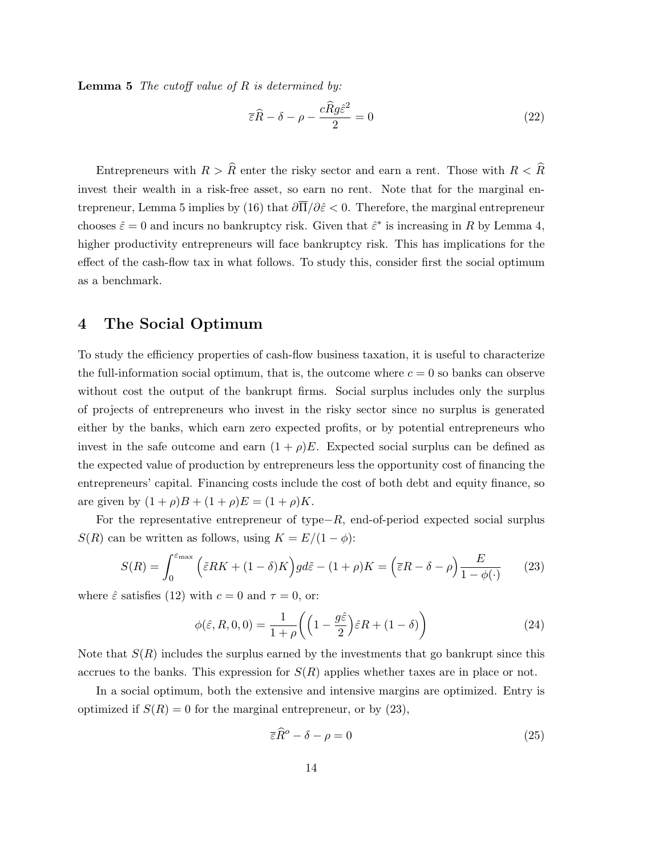**Lemma 5** The cutoff value of  $R$  is determined by:

$$
\overline{\varepsilon}\widehat{R} - \delta - \rho - \frac{c\widehat{R}g\widehat{\varepsilon}^2}{2} = 0
$$
\n(22)

Entrepreneurs with  $R > \hat{R}$  enter the risky sector and earn a rent. Those with  $R < \hat{R}$ invest their wealth in a risk-free asset, so earn no rent. Note that for the marginal entrepreneur, Lemma 5 implies by (16) that  $\partial \overline{\Pi}/\partial \hat{\varepsilon} < 0$ . Therefore, the marginal entrepreneur chooses  $\hat{\varepsilon} = 0$  and incurs no bankruptcy risk. Given that  $\hat{\varepsilon}^*$  is increasing in R by Lemma 4, higher productivity entrepreneurs will face bankruptcy risk. This has implications for the effect of the cash-flow tax in what follows. To study this, consider first the social optimum as a benchmark.

### 4 The Social Optimum

To study the efficiency properties of cash-flow business taxation, it is useful to characterize the full-information social optimum, that is, the outcome where  $c = 0$  so banks can observe without cost the output of the bankrupt firms. Social surplus includes only the surplus of projects of entrepreneurs who invest in the risky sector since no surplus is generated either by the banks, which earn zero expected profits, or by potential entrepreneurs who invest in the safe outcome and earn  $(1 + \rho)E$ . Expected social surplus can be defined as the expected value of production by entrepreneurs less the opportunity cost of financing the entrepreneurs' capital. Financing costs include the cost of both debt and equity finance, so are given by  $(1 + \rho)B + (1 + \rho)E = (1 + \rho)K$ .

For the representative entrepreneur of type $-R$ , end-of-period expected social surplus  $S(R)$  can be written as follows, using  $K = E/(1 - \phi)$ :

$$
S(R) = \int_0^{\varepsilon_{\text{max}}} \left( \tilde{\varepsilon} RK + (1 - \delta)K \right) g d\tilde{\varepsilon} - (1 + \rho)K = \left( \overline{\varepsilon}R - \delta - \rho \right) \frac{E}{1 - \phi(\cdot)} \tag{23}
$$

where  $\hat{\varepsilon}$  satisfies (12) with  $c = 0$  and  $\tau = 0$ , or:

$$
\phi(\hat{\varepsilon}, R, 0, 0) = \frac{1}{1+\rho} \left( \left( 1 - \frac{g\hat{\varepsilon}}{2} \right) \hat{\varepsilon} R + (1 - \delta) \right) \tag{24}
$$

Note that  $S(R)$  includes the surplus earned by the investments that go bankrupt since this accrues to the banks. This expression for  $S(R)$  applies whether taxes are in place or not.

In a social optimum, both the extensive and intensive margins are optimized. Entry is optimized if  $S(R) = 0$  for the marginal entrepreneur, or by (23),

$$
\overline{\varepsilon}\widehat{R}^o - \delta - \rho = 0\tag{25}
$$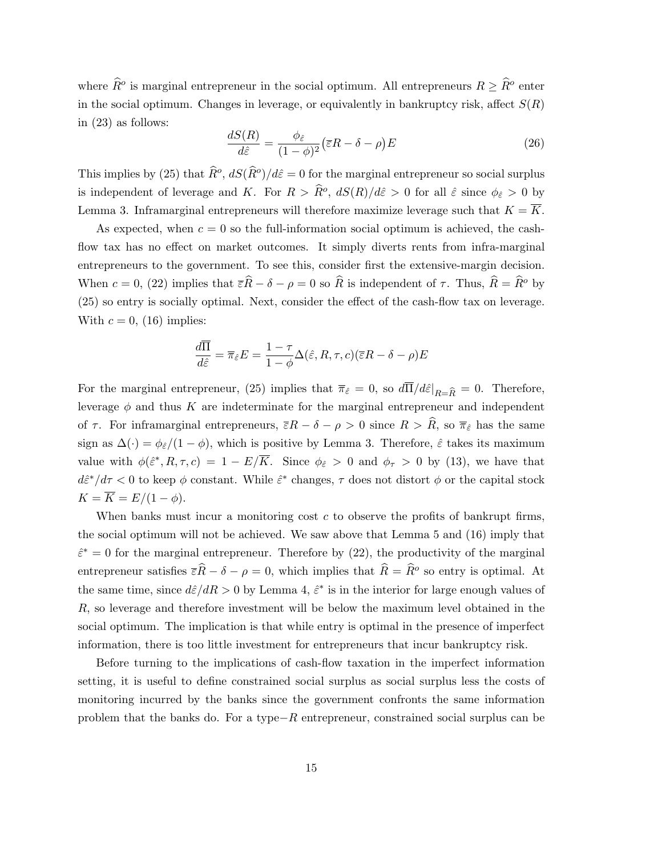where  $\widehat{R}^o$  is marginal entrepreneur in the social optimum. All entrepreneurs  $R \geq \widehat{R}^o$  enter in the social optimum. Changes in leverage, or equivalently in bankruptcy risk, affect  $S(R)$ in (23) as follows:

$$
\frac{dS(R)}{d\hat{\varepsilon}} = \frac{\phi_{\hat{\varepsilon}}}{(1-\phi)^2} (\bar{\varepsilon}R - \delta - \rho)E
$$
\n(26)

This implies by (25) that  $\widehat{R}^o$ ,  $dS(\widehat{R}^o)/d\widehat{\varepsilon}=0$  for the marginal entrepreneur so social surplus is independent of leverage and K. For  $R > \widehat{R}^o$ ,  $dS(R)/d\hat{\varepsilon} > 0$  for all  $\hat{\varepsilon}$  since  $\phi_{\hat{\varepsilon}} > 0$  by Lemma 3. Inframarginal entrepreneurs will therefore maximize leverage such that  $K = \overline{K}$ .

As expected, when  $c = 0$  so the full-information social optimum is achieved, the cashflow tax has no effect on market outcomes. It simply diverts rents from infra-marginal entrepreneurs to the government. To see this, consider first the extensive-margin decision. When  $c = 0$ , (22) implies that  $\overline{\varepsilon}R - \delta - \rho = 0$  so  $\widehat{R}$  is independent of  $\tau$ . Thus,  $\widehat{R} = \widehat{R}^{\circ}$  by (25) so entry is socially optimal. Next, consider the effect of the cash-flow tax on leverage. With  $c = 0$ , (16) implies:

$$
\frac{d\overline{\Pi}}{d\hat{\varepsilon}} = \overline{\pi}_{\hat{\varepsilon}}E = \frac{1-\tau}{1-\phi}\Delta(\hat{\varepsilon}, R, \tau, c)(\overline{\varepsilon}R - \delta - \rho)E
$$

For the marginal entrepreneur, (25) implies that  $\bar{\pi}_{\hat{\varepsilon}} = 0$ , so  $d\bar{\Pi}/d\hat{\varepsilon}|_{R=\hat{R}} = 0$ . Therefore, leverage  $\phi$  and thus K are indeterminate for the marginal entrepreneur and independent of  $\tau$ . For inframarginal entrepreneurs,  $\bar{\varepsilon}R - \delta - \rho > 0$  since  $R > \hat{R}$ , so  $\bar{\pi}_{\hat{\varepsilon}}$  has the same sign as  $\Delta(\cdot) = \phi_{\hat{\varepsilon}}/(1-\phi)$ , which is positive by Lemma 3. Therefore,  $\hat{\varepsilon}$  takes its maximum value with  $\phi(\hat{\varepsilon}^*, R, \tau, c) = 1 - E/\overline{K}$ . Since  $\phi_{\hat{\varepsilon}} > 0$  and  $\phi_{\tau} > 0$  by (13), we have that  $d\hat{\epsilon}^*/d\tau < 0$  to keep  $\phi$  constant. While  $\hat{\epsilon}^*$  changes,  $\tau$  does not distort  $\phi$  or the capital stock  $K = \overline{K} = E/(1 - \phi).$ 

When banks must incur a monitoring cost  $c$  to observe the profits of bankrupt firms, the social optimum will not be achieved. We saw above that Lemma 5 and (16) imply that  $\hat{\epsilon}^* = 0$  for the marginal entrepreneur. Therefore by (22), the productivity of the marginal entrepreneur satisfies  $\bar{\varepsilon}R - \delta - \rho = 0$ , which implies that  $\hat{R} = \hat{R}^{\rho}$  so entry is optimal. At the same time, since  $d\hat{\epsilon}/dR > 0$  by Lemma 4,  $\hat{\epsilon}^*$  is in the interior for large enough values of R, so leverage and therefore investment will be below the maximum level obtained in the social optimum. The implication is that while entry is optimal in the presence of imperfect information, there is too little investment for entrepreneurs that incur bankruptcy risk.

Before turning to the implications of cash-flow taxation in the imperfect information setting, it is useful to define constrained social surplus as social surplus less the costs of monitoring incurred by the banks since the government confronts the same information problem that the banks do. For a type−R entrepreneur, constrained social surplus can be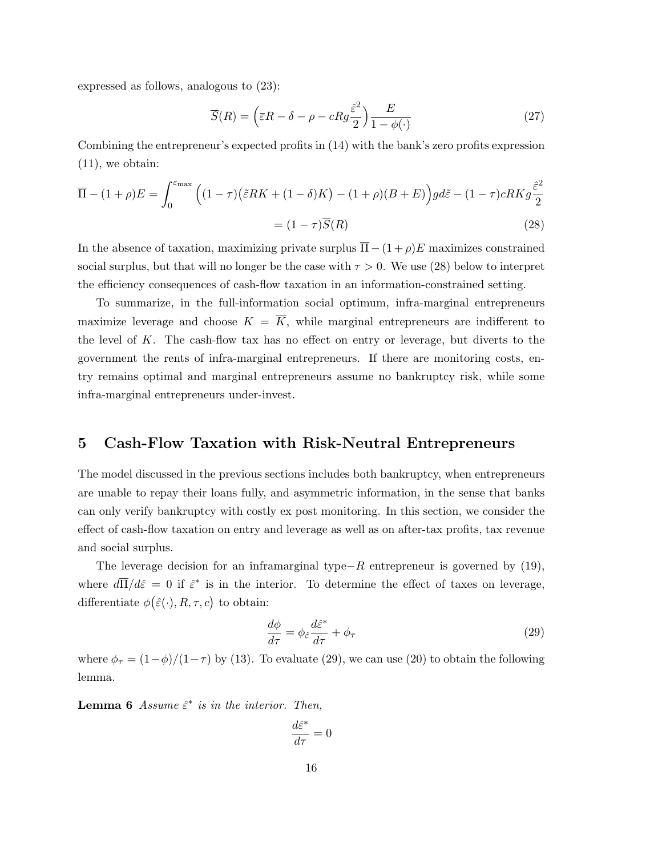expressed as follows, analogous to (23):

$$
\overline{S}(R) = \left(\overline{\varepsilon}R - \delta - \rho - cRg\frac{\hat{\varepsilon}^2}{2}\right)\frac{E}{1 - \phi(\cdot)}
$$
\n(27)

Combining the entrepreneur's expected profits in (14) with the bank's zero profits expression (11), we obtain:

$$
\overline{\Pi} - (1+\rho)E = \int_0^{\varepsilon_{\text{max}}} \left( (1-\tau)\left(\tilde{\varepsilon}RK + (1-\delta)K\right) - (1+\rho)(B+E) \right) gd\tilde{\varepsilon} - (1-\tau)cRKg\frac{\hat{\varepsilon}^2}{2}
$$

$$
= (1-\tau)\overline{S}(R) \tag{28}
$$

In the absence of taxation, maximizing private surplus  $\overline{\Pi}-(1+\rho)E$  maximizes constrained social surplus, but that will no longer be the case with  $\tau > 0$ . We use (28) below to interpret the efficiency consequences of cash-flow taxation in an information-constrained setting.

To summarize, in the full-information social optimum, infra-marginal entrepreneurs maximize leverage and choose  $K = \overline{K}$ , while marginal entrepreneurs are indifferent to the level of  $K$ . The cash-flow tax has no effect on entry or leverage, but diverts to the government the rents of infra-marginal entrepreneurs. If there are monitoring costs, entry remains optimal and marginal entrepreneurs assume no bankruptcy risk, while some infra-marginal entrepreneurs under-invest.

### 5 Cash-Flow Taxation with Risk-Neutral Entrepreneurs

The model discussed in the previous sections includes both bankruptcy, when entrepreneurs are unable to repay their loans fully, and asymmetric information, in the sense that banks can only verify bankruptcy with costly ex post monitoring. In this section, we consider the effect of cash-flow taxation on entry and leverage as well as on after-tax profits, tax revenue and social surplus.

The leverage decision for an inframarginal type $-R$  entrepreneur is governed by (19), where  $d\overline{\Pi}/d\hat{\varepsilon}=0$  if  $\hat{\varepsilon}^*$  is in the interior. To determine the effect of taxes on leverage, differentiate  $\phi(\hat{\varepsilon}(\cdot), R, \tau, c)$  to obtain:

$$
\frac{d\phi}{d\tau} = \phi_{\hat{\varepsilon}} \frac{d\hat{\varepsilon}^*}{d\tau} + \phi_{\tau}
$$
\n(29)

where  $\phi_{\tau} = (1-\phi)/(1-\tau)$  by (13). To evaluate (29), we can use (20) to obtain the following lemma.

**Lemma 6** Assume  $\hat{\epsilon}^*$  is in the interior. Then,

$$
\frac{d\hat{\varepsilon}^*}{d\tau}=0
$$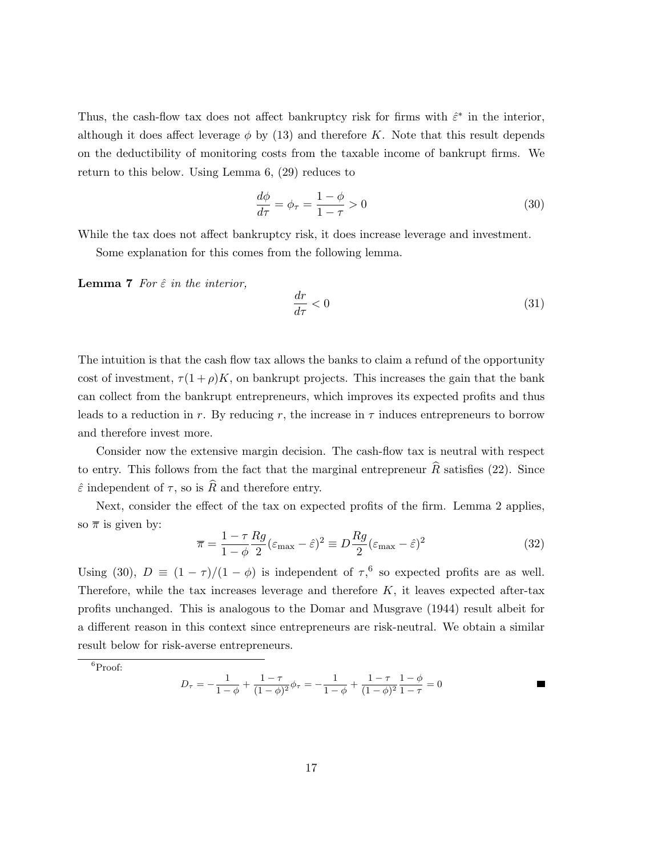Thus, the cash-flow tax does not affect bankruptcy risk for firms with  $\hat{\varepsilon}^*$  in the interior, although it does affect leverage  $\phi$  by (13) and therefore K. Note that this result depends on the deductibility of monitoring costs from the taxable income of bankrupt firms. We return to this below. Using Lemma 6, (29) reduces to

$$
\frac{d\phi}{d\tau} = \phi_{\tau} = \frac{1-\phi}{1-\tau} > 0\tag{30}
$$

While the tax does not affect bankruptcy risk, it does increase leverage and investment.

Some explanation for this comes from the following lemma.

**Lemma 7** For  $\hat{\varepsilon}$  in the interior,

$$
\frac{dr}{d\tau} < 0\tag{31}
$$

The intuition is that the cash flow tax allows the banks to claim a refund of the opportunity cost of investment,  $\tau(1+\rho)K$ , on bankrupt projects. This increases the gain that the bank can collect from the bankrupt entrepreneurs, which improves its expected profits and thus leads to a reduction in r. By reducing r, the increase in  $\tau$  induces entrepreneurs to borrow and therefore invest more.

Consider now the extensive margin decision. The cash-flow tax is neutral with respect to entry. This follows from the fact that the marginal entrepreneur  $\hat{R}$  satisfies (22). Since  $\hat{\varepsilon}$  independent of  $\tau$ , so is  $\widehat{R}$  and therefore entry.

Next, consider the effect of the tax on expected profits of the firm. Lemma 2 applies, so  $\bar{\pi}$  is given by:

$$
\overline{\pi} = \frac{1 - \tau}{1 - \phi} \frac{Rg}{2} (\varepsilon_{\text{max}} - \hat{\varepsilon})^2 \equiv D \frac{Rg}{2} (\varepsilon_{\text{max}} - \hat{\varepsilon})^2 \tag{32}
$$

Using (30),  $D \equiv (1 - \tau)/(1 - \phi)$  is independent of  $\tau$ <sup>6</sup>, so expected profits are as well. Therefore, while the tax increases leverage and therefore  $K$ , it leaves expected after-tax profits unchanged. This is analogous to the Domar and Musgrave (1944) result albeit for a different reason in this context since entrepreneurs are risk-neutral. We obtain a similar result below for risk-averse entrepreneurs.

$$
D_{\tau} = -\frac{1}{1-\phi} + \frac{1-\tau}{(1-\phi)^2} \phi_{\tau} = -\frac{1}{1-\phi} + \frac{1-\tau}{(1-\phi)^2} \frac{1-\phi}{1-\tau} = 0
$$

<sup>6</sup>Proof: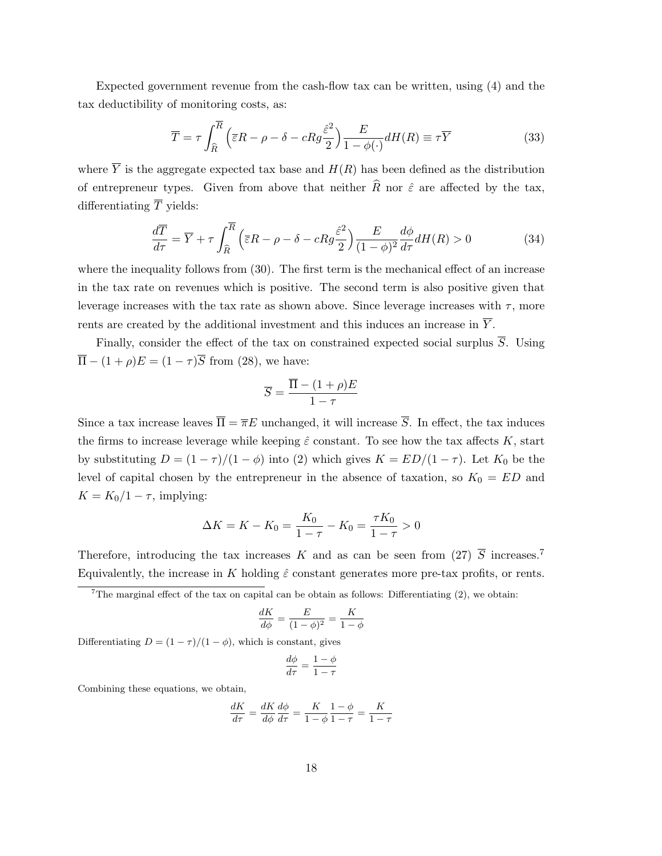Expected government revenue from the cash-flow tax can be written, using (4) and the tax deductibility of monitoring costs, as:

$$
\overline{T} = \tau \int_{\widehat{R}}^{\overline{R}} \left( \overline{\varepsilon} R - \rho - \delta - c R g \frac{\widehat{\varepsilon}^2}{2} \right) \frac{E}{1 - \phi(\cdot)} dH(R) \equiv \tau \overline{Y}
$$
(33)

where  $\overline{Y}$  is the aggregate expected tax base and  $H(R)$  has been defined as the distribution of entrepreneur types. Given from above that neither  $\widehat{R}$  nor  $\widehat{\varepsilon}$  are affected by the tax, differentiating  $\overline{T}$  yields:

$$
\frac{d\overline{T}}{d\tau} = \overline{Y} + \tau \int_{\widehat{R}}^{\overline{R}} \left( \overline{\varepsilon}R - \rho - \delta - cRg \frac{\widehat{\varepsilon}^2}{2} \right) \frac{E}{(1 - \phi)^2} \frac{d\phi}{d\tau} dH(R) > 0 \tag{34}
$$

where the inequality follows from (30). The first term is the mechanical effect of an increase in the tax rate on revenues which is positive. The second term is also positive given that leverage increases with the tax rate as shown above. Since leverage increases with  $\tau$ , more rents are created by the additional investment and this induces an increase in  $\overline{Y}$ .

Finally, consider the effect of the tax on constrained expected social surplus  $\overline{S}$ . Using  $\overline{\Pi} - (1 + \rho)E = (1 - \tau)\overline{S}$  from (28), we have:

$$
\overline{S} = \frac{\overline{\Pi} - (1+\rho)E}{1-\tau}
$$

Since a tax increase leaves  $\overline{\Pi} = \overline{\pi}E$  unchanged, it will increase  $\overline{S}$ . In effect, the tax induces the firms to increase leverage while keeping  $\hat{\varepsilon}$  constant. To see how the tax affects K, start by substituting  $D = (1 - \tau)/(1 - \phi)$  into (2) which gives  $K = ED/(1 - \tau)$ . Let  $K_0$  be the level of capital chosen by the entrepreneur in the absence of taxation, so  $K_0 = ED$  and  $K = K_0/1 - \tau$ , implying:

$$
\Delta K = K - K_0 = \frac{K_0}{1 - \tau} - K_0 = \frac{\tau K_0}{1 - \tau} > 0
$$

Therefore, introducing the tax increases K and as can be seen from (27)  $\overline{S}$  increases.<sup>7</sup> Equivalently, the increase in K holding  $\hat{\varepsilon}$  constant generates more pre-tax profits, or rents.

<sup>7</sup>The marginal effect of the tax on capital can be obtain as follows: Differentiating  $(2)$ , we obtain:

$$
\frac{dK}{d\phi} = \frac{E}{(1-\phi)^2} = \frac{K}{1-\phi}
$$

Differentiating  $D = (1 - \tau)/(1 - \phi)$ , which is constant, gives

$$
\frac{d\phi}{d\tau} = \frac{1-\phi}{1-\tau}
$$

Combining these equations, we obtain,

$$
\frac{dK}{d\tau}=\frac{dK}{d\phi}\frac{d\phi}{d\tau}=\frac{K}{1-\phi}\frac{1-\phi}{1-\tau}=\frac{K}{1-\tau}
$$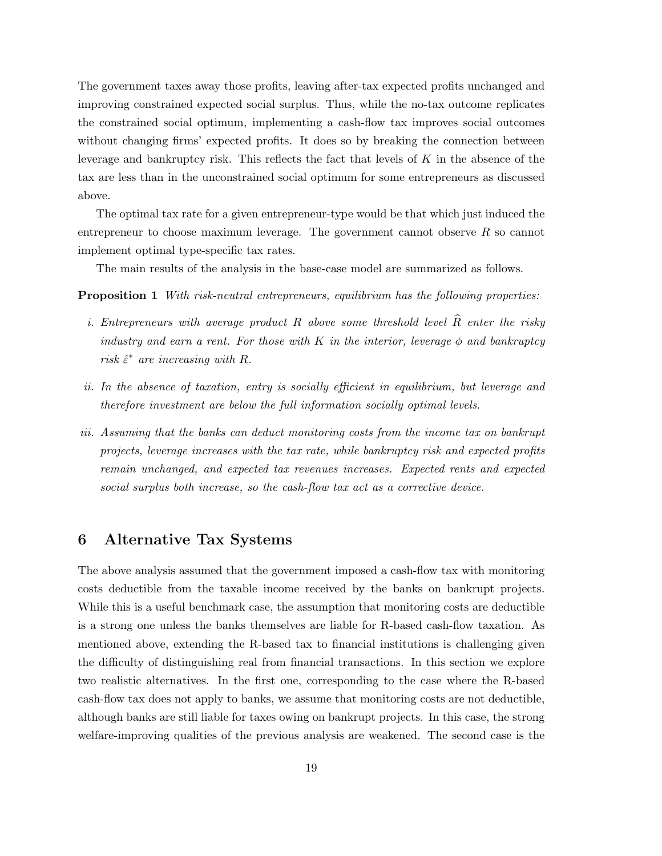The government taxes away those profits, leaving after-tax expected profits unchanged and improving constrained expected social surplus. Thus, while the no-tax outcome replicates the constrained social optimum, implementing a cash-flow tax improves social outcomes without changing firms' expected profits. It does so by breaking the connection between leverage and bankruptcy risk. This reflects the fact that levels of  $K$  in the absence of the tax are less than in the unconstrained social optimum for some entrepreneurs as discussed above.

The optimal tax rate for a given entrepreneur-type would be that which just induced the entrepreneur to choose maximum leverage. The government cannot observe  $R$  so cannot implement optimal type-specific tax rates.

The main results of the analysis in the base-case model are summarized as follows.

Proposition 1 With risk-neutral entrepreneurs, equilibrium has the following properties:

- i. Entrepreneurs with average product R above some threshold level  $\widehat{R}$  enter the risky industry and earn a rent. For those with K in the interior, leverage  $\phi$  and bankruptcy risk  $\hat{\varepsilon}^*$  are increasing with R.
- ii. In the absence of taxation, entry is socially efficient in equilibrium, but leverage and therefore investment are below the full information socially optimal levels.
- iii. Assuming that the banks can deduct monitoring costs from the income tax on bankrupt projects, leverage increases with the tax rate, while bankruptcy risk and expected profits remain unchanged, and expected tax revenues increases. Expected rents and expected social surplus both increase, so the cash-flow tax act as a corrective device.

### 6 Alternative Tax Systems

The above analysis assumed that the government imposed a cash-flow tax with monitoring costs deductible from the taxable income received by the banks on bankrupt projects. While this is a useful benchmark case, the assumption that monitoring costs are deductible is a strong one unless the banks themselves are liable for R-based cash-flow taxation. As mentioned above, extending the R-based tax to financial institutions is challenging given the difficulty of distinguishing real from financial transactions. In this section we explore two realistic alternatives. In the first one, corresponding to the case where the R-based cash-flow tax does not apply to banks, we assume that monitoring costs are not deductible, although banks are still liable for taxes owing on bankrupt projects. In this case, the strong welfare-improving qualities of the previous analysis are weakened. The second case is the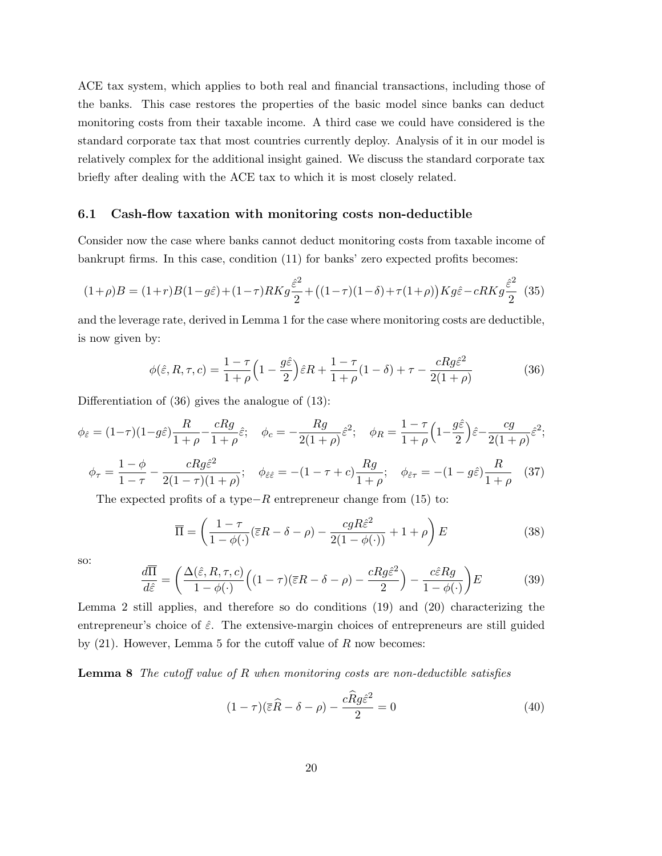ACE tax system, which applies to both real and financial transactions, including those of the banks. This case restores the properties of the basic model since banks can deduct monitoring costs from their taxable income. A third case we could have considered is the standard corporate tax that most countries currently deploy. Analysis of it in our model is relatively complex for the additional insight gained. We discuss the standard corporate tax briefly after dealing with the ACE tax to which it is most closely related.

#### 6.1 Cash-flow taxation with monitoring costs non-deductible

Consider now the case where banks cannot deduct monitoring costs from taxable income of bankrupt firms. In this case, condition (11) for banks' zero expected profits becomes:

$$
(1+\rho)B=(1+r)B(1-g\hat{\varepsilon})+(1-\tau)RKg\frac{\hat{\varepsilon}^2}{2}+\big((1-\tau)(1-\delta)+\tau(1+\rho)\big)Kg\hat{\varepsilon}-cRKg\frac{\hat{\varepsilon}^2}{2}\eqno(35)
$$

and the leverage rate, derived in Lemma 1 for the case where monitoring costs are deductible, is now given by:

$$
\phi(\hat{\varepsilon}, R, \tau, c) = \frac{1 - \tau}{1 + \rho} \left( 1 - \frac{g\hat{\varepsilon}}{2} \right) \hat{\varepsilon} R + \frac{1 - \tau}{1 + \rho} (1 - \delta) + \tau - \frac{cRg\hat{\varepsilon}^2}{2(1 + \rho)}
$$
(36)

Differentiation of (36) gives the analogue of (13):

$$
\phi_{\hat{\varepsilon}} = (1-\tau)(1-g\hat{\varepsilon})\frac{R}{1+\rho} - \frac{cRg}{1+\rho}\hat{\varepsilon}; \quad \phi_c = -\frac{Rg}{2(1+\rho)}\hat{\varepsilon}^2; \quad \phi_R = \frac{1-\tau}{1+\rho}\Big(1-\frac{g\hat{\varepsilon}}{2}\Big)\hat{\varepsilon} - \frac{cg}{2(1+\rho)}\hat{\varepsilon}^2;
$$

$$
\phi_{\tau} = \frac{1-\phi}{1-\tau} - \frac{cRg\hat{\varepsilon}^2}{2(1-\tau)(1+\rho)}; \quad \phi_{\hat{\varepsilon}\hat{\varepsilon}} = -(1-\tau+c)\frac{Rg}{1+\rho}; \quad \phi_{\hat{\varepsilon}\tau} = -(1-g\hat{\varepsilon})\frac{R}{1+\rho} \quad (37)
$$

The expected profits of a type $-R$  entrepreneur change from (15) to:

$$
\overline{\Pi} = \left(\frac{1-\tau}{1-\phi(\cdot)}(\overline{\varepsilon}R - \delta - \rho) - \frac{cgR\hat{\varepsilon}^2}{2(1-\phi(\cdot))} + 1 + \rho\right)E\tag{38}
$$

so:

$$
\frac{d\overline{\Pi}}{d\hat{\varepsilon}} = \left(\frac{\Delta(\hat{\varepsilon}, R, \tau, c)}{1 - \phi(\cdot)} \Big( (1 - \tau)(\overline{\varepsilon}R - \delta - \rho) - \frac{cRg\hat{\varepsilon}^2}{2} \Big) - \frac{c\hat{\varepsilon}Rg}{1 - \phi(\cdot)} \right) E \tag{39}
$$

Lemma 2 still applies, and therefore so do conditions (19) and (20) characterizing the entrepreneur's choice of  $\hat{\varepsilon}$ . The extensive-margin choices of entrepreneurs are still guided by  $(21)$ . However, Lemma 5 for the cutoff value of R now becomes:

**Lemma 8** The cutoff value of R when monitoring costs are non-deductible satisfies

$$
(1 - \tau)(\overline{\varepsilon}\widehat{R} - \delta - \rho) - \frac{c\widehat{R}g\widehat{\varepsilon}^2}{2} = 0
$$
\n(40)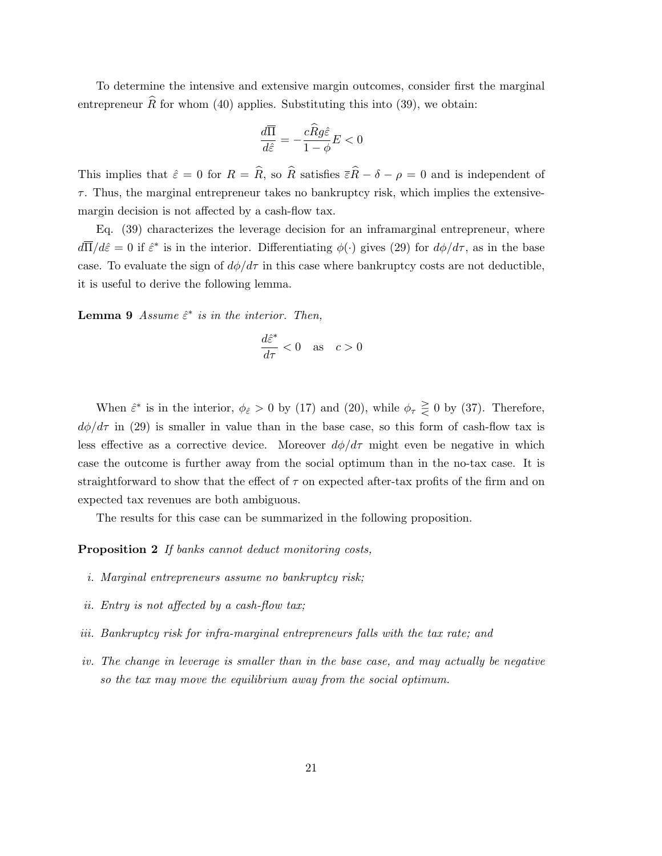To determine the intensive and extensive margin outcomes, consider first the marginal entrepreneur  $\hat{R}$  for whom (40) applies. Substituting this into (39), we obtain:

$$
\frac{d\overline{\Pi}}{d\hat{\varepsilon}} = -\frac{c\widehat{R}g\hat{\varepsilon}}{1-\phi}E < 0
$$

This implies that  $\hat{\varepsilon} = 0$  for  $R = \hat{R}$ , so  $\hat{R}$  satisfies  $\overline{\varepsilon}\hat{R} - \delta - \rho = 0$  and is independent of  $\tau$ . Thus, the marginal entrepreneur takes no bankruptcy risk, which implies the extensivemargin decision is not affected by a cash-flow tax.

Eq. (39) characterizes the leverage decision for an inframarginal entrepreneur, where  $d\overline{\Pi}/d\hat{\varepsilon}=0$  if  $\hat{\varepsilon}^*$  is in the interior. Differentiating  $\phi(\cdot)$  gives (29) for  $d\phi/d\tau$ , as in the base case. To evaluate the sign of  $d\phi/d\tau$  in this case where bankruptcy costs are not deductible, it is useful to derive the following lemma.

**Lemma 9** Assume  $\hat{\epsilon}^*$  is in the interior. Then,

$$
\frac{d\hat{\varepsilon}^*}{d\tau} < 0 \quad \text{as} \quad c > 0
$$

When  $\hat{\varepsilon}^*$  is in the interior,  $\phi_{\hat{\varepsilon}} > 0$  by (17) and (20), while  $\phi_{\tau} \geq 0$  by (37). Therefore,  $d\phi/d\tau$  in (29) is smaller in value than in the base case, so this form of cash-flow tax is less effective as a corrective device. Moreover  $d\phi/d\tau$  might even be negative in which case the outcome is further away from the social optimum than in the no-tax case. It is straightforward to show that the effect of  $\tau$  on expected after-tax profits of the firm and on expected tax revenues are both ambiguous.

The results for this case can be summarized in the following proposition.

Proposition 2 If banks cannot deduct monitoring costs,

- i. Marginal entrepreneurs assume no bankruptcy risk;
- ii. Entry is not affected by a cash-flow tax;
- iii. Bankruptcy risk for infra-marginal entrepreneurs falls with the tax rate; and
- iv. The change in leverage is smaller than in the base case, and may actually be negative so the tax may move the equilibrium away from the social optimum.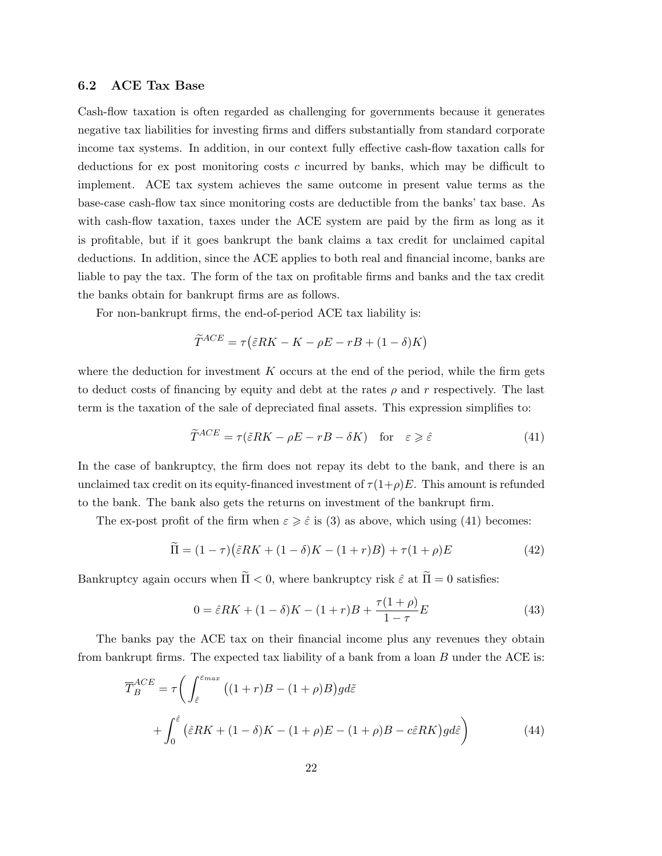#### 6.2 ACE Tax Base

Cash-flow taxation is often regarded as challenging for governments because it generates negative tax liabilities for investing firms and differs substantially from standard corporate income tax systems. In addition, in our context fully effective cash-flow taxation calls for deductions for ex post monitoring costs c incurred by banks, which may be difficult to implement. ACE tax system achieves the same outcome in present value terms as the base-case cash-flow tax since monitoring costs are deductible from the banks' tax base. As with cash-flow taxation, taxes under the ACE system are paid by the firm as long as it is profitable, but if it goes bankrupt the bank claims a tax credit for unclaimed capital deductions. In addition, since the ACE applies to both real and financial income, banks are liable to pay the tax. The form of the tax on profitable firms and banks and the tax credit the banks obtain for bankrupt firms are as follows.

For non-bankrupt firms, the end-of-period ACE tax liability is:

$$
\widetilde{T}^{ACE} = \tau \left( \widetilde{\varepsilon} RK - K - \rho E - rB + (1 - \delta)K \right)
$$

where the deduction for investment  $K$  occurs at the end of the period, while the firm gets to deduct costs of financing by equity and debt at the rates  $\rho$  and r respectively. The last term is the taxation of the sale of depreciated final assets. This expression simplifies to:

$$
\widetilde{T}^{ACE} = \tau(\widetilde{\varepsilon}RK - \rho E - rB - \delta K) \quad \text{for} \quad \varepsilon \geqslant \widehat{\varepsilon} \tag{41}
$$

In the case of bankruptcy, the firm does not repay its debt to the bank, and there is an unclaimed tax credit on its equity-financed investment of  $\tau(1+\rho)E$ . This amount is refunded to the bank. The bank also gets the returns on investment of the bankrupt firm.

The ex-post profit of the firm when  $\varepsilon \geqslant \hat{\varepsilon}$  is (3) as above, which using (41) becomes:

$$
\widetilde{\Pi} = (1 - \tau)\left(\widetilde{\varepsilon}RK + (1 - \delta)K - (1 + r)B\right) + \tau(1 + \rho)E\tag{42}
$$

Bankruptcy again occurs when  $\tilde{\Pi} < 0$ , where bankruptcy risk  $\hat{\varepsilon}$  at  $\tilde{\Pi} = 0$  satisfies:

$$
0 = \hat{\varepsilon}RK + (1 - \delta)K - (1 + r)B + \frac{\tau(1 + \rho)}{1 - \tau}E
$$
\n(43)

The banks pay the ACE tax on their financial income plus any revenues they obtain from bankrupt firms. The expected tax liability of a bank from a loan  $B$  under the ACE is:

$$
\overline{T}_{B}^{ACE} = \tau \bigg( \int_{\hat{\varepsilon}}^{\varepsilon_{max}} \left( (1+r)B - (1+\rho)B \right) g d\tilde{\varepsilon} \n+ \int_{0}^{\hat{\varepsilon}} \left( \hat{\varepsilon} RK + (1-\delta)K - (1+\rho)E - (1+\rho)B - c\hat{\varepsilon}RK \right) g d\hat{\varepsilon} \bigg)
$$
\n(44)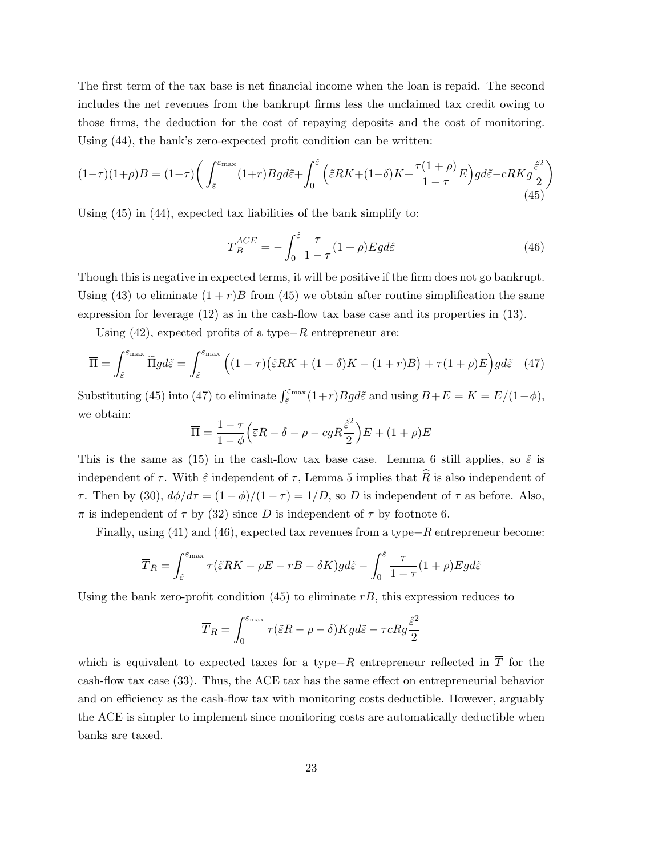The first term of the tax base is net financial income when the loan is repaid. The second includes the net revenues from the bankrupt firms less the unclaimed tax credit owing to those firms, the deduction for the cost of repaying deposits and the cost of monitoring. Using (44), the bank's zero-expected profit condition can be written:

$$
(1-\tau)(1+\rho)B = (1-\tau)\left(\int_{\hat{\varepsilon}}^{\varepsilon_{\max}}(1+r)Bgd\tilde{\varepsilon} + \int_0^{\hat{\varepsilon}} \left(\tilde{\varepsilon}RK + (1-\delta)K + \frac{\tau(1+\rho)}{1-\tau}E\right)gd\tilde{\varepsilon} - cRKg\frac{\hat{\varepsilon}^2}{2}\right)
$$
\n(45)

Using (45) in (44), expected tax liabilities of the bank simplify to:

$$
\overline{T}_{B}^{ACE} = -\int_{0}^{\hat{\varepsilon}} \frac{\tau}{1-\tau} (1+\rho) Egd\hat{\varepsilon}
$$
\n(46)

Though this is negative in expected terms, it will be positive if the firm does not go bankrupt. Using (43) to eliminate  $(1 + r)B$  from (45) we obtain after routine simplification the same expression for leverage (12) as in the cash-flow tax base case and its properties in (13).

Using  $(42)$ , expected profits of a type $-R$  entrepreneur are:

$$
\overline{\Pi} = \int_{\hat{\varepsilon}}^{\varepsilon_{\text{max}}} \widetilde{\Pi} g d\tilde{\varepsilon} = \int_{\hat{\varepsilon}}^{\varepsilon_{\text{max}}} \left( (1 - \tau) \left( \tilde{\varepsilon} R K + (1 - \delta) K - (1 + r) B \right) + \tau (1 + \rho) E \right) g d\tilde{\varepsilon} \quad (47)
$$

Substituting (45) into (47) to eliminate  $\int_{\hat{\varepsilon}}^{\varepsilon_{\text{max}}}(1+r)Bgd\tilde{\varepsilon}$  and using  $B+E=K=E/(1-\phi)$ , we obtain:

$$
\overline{\Pi} = \frac{1-\tau}{1-\phi} \Big( \overline{\varepsilon}R - \delta - \rho - cgR\frac{\hat{\varepsilon}^2}{2} \Big)E + (1+\rho)E
$$

This is the same as (15) in the cash-flow tax base case. Lemma 6 still applies, so  $\hat{\varepsilon}$  is independent of  $\tau$ . With  $\hat{\varepsilon}$  independent of  $\tau$ , Lemma 5 implies that  $\hat{R}$  is also independent of τ. Then by (30),  $d\phi/d\tau = (1 - \phi)/(1 - \tau) = 1/D$ , so D is independent of  $\tau$  as before. Also,  $\bar{\pi}$  is independent of  $\tau$  by (32) since D is independent of  $\tau$  by footnote 6.

Finally, using (41) and (46), expected tax revenues from a type−R entrepreneur become:

$$
\overline{T}_R = \int_{\hat{\varepsilon}}^{\varepsilon_{\text{max}}} \tau(\tilde{\varepsilon}RK - \rho E - rB - \delta K)gd\tilde{\varepsilon} - \int_0^{\hat{\varepsilon}} \frac{\tau}{1 - \tau} (1 + \rho)Egd\tilde{\varepsilon}
$$

Using the bank zero-profit condition  $(45)$  to eliminate rB, this expression reduces to

$$
\overline{T}_R = \int_0^{\varepsilon_{\rm max}} \tau (\tilde{\varepsilon} R - \rho - \delta) K g d\tilde{\varepsilon} - \tau c R g \frac{\hat{\varepsilon}^2}{2}
$$

which is equivalent to expected taxes for a type–R entrepreneur reflected in  $\overline{T}$  for the cash-flow tax case (33). Thus, the ACE tax has the same effect on entrepreneurial behavior and on efficiency as the cash-flow tax with monitoring costs deductible. However, arguably the ACE is simpler to implement since monitoring costs are automatically deductible when banks are taxed.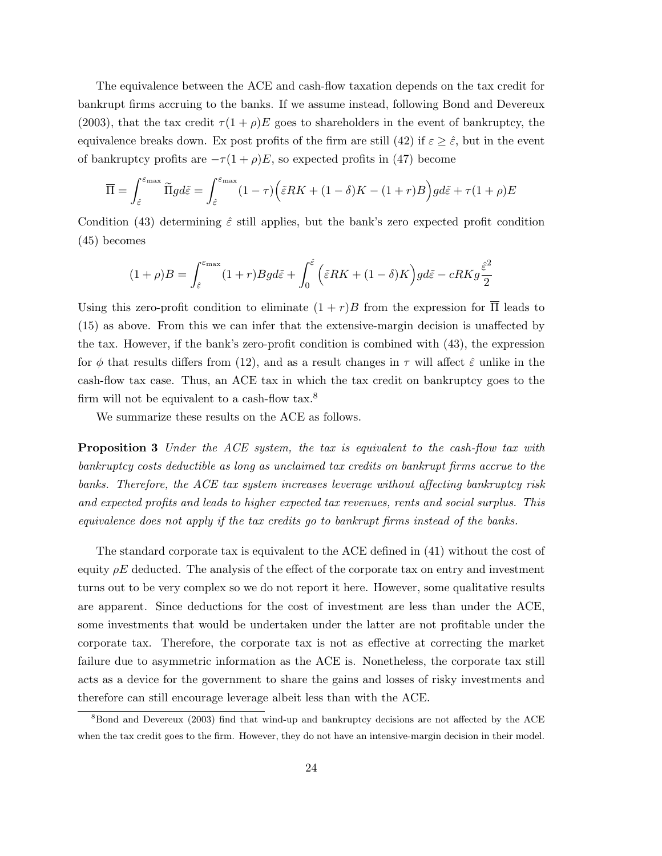The equivalence between the ACE and cash-flow taxation depends on the tax credit for bankrupt firms accruing to the banks. If we assume instead, following Bond and Devereux (2003), that the tax credit  $\tau(1+\rho)E$  goes to shareholders in the event of bankruptcy, the equivalence breaks down. Ex post profits of the firm are still (42) if  $\varepsilon \geq \hat{\varepsilon}$ , but in the event of bankruptcy profits are  $-\tau(1+\rho)E$ , so expected profits in (47) become

$$
\overline{\Pi} = \int_{\hat{\varepsilon}}^{\varepsilon_{\text{max}}} \widetilde{\Pi} g d\tilde{\varepsilon} = \int_{\hat{\varepsilon}}^{\varepsilon_{\text{max}}} (1 - \tau) \Big( \tilde{\varepsilon} R K + (1 - \delta) K - (1 + r) B \Big) g d\tilde{\varepsilon} + \tau (1 + \rho) E
$$

Condition (43) determining  $\hat{\varepsilon}$  still applies, but the bank's zero expected profit condition (45) becomes

$$
(1+\rho)B = \int_{\hat{\varepsilon}}^{\varepsilon_{\text{max}}} (1+r)Bg d\tilde{\varepsilon} + \int_0^{\hat{\varepsilon}} \left( \tilde{\varepsilon} RK + (1-\delta)K \right) g d\tilde{\varepsilon} - cRKg \frac{\hat{\varepsilon}^2}{2}
$$

Using this zero-profit condition to eliminate  $(1 + r)B$  from the expression for  $\overline{\Pi}$  leads to (15) as above. From this we can infer that the extensive-margin decision is unaffected by the tax. However, if the bank's zero-profit condition is combined with (43), the expression for  $\phi$  that results differs from (12), and as a result changes in  $\tau$  will affect  $\hat{\varepsilon}$  unlike in the cash-flow tax case. Thus, an ACE tax in which the tax credit on bankruptcy goes to the firm will not be equivalent to a cash-flow tax. $8$ 

We summarize these results on the ACE as follows.

**Proposition 3** Under the ACE system, the tax is equivalent to the cash-flow tax with bankruptcy costs deductible as long as unclaimed tax credits on bankrupt firms accrue to the banks. Therefore, the ACE tax system increases leverage without affecting bankruptcy risk and expected profits and leads to higher expected tax revenues, rents and social surplus. This equivalence does not apply if the tax credits go to bankrupt firms instead of the banks.

The standard corporate tax is equivalent to the ACE defined in (41) without the cost of equity  $\rho E$  deducted. The analysis of the effect of the corporate tax on entry and investment turns out to be very complex so we do not report it here. However, some qualitative results are apparent. Since deductions for the cost of investment are less than under the ACE, some investments that would be undertaken under the latter are not profitable under the corporate tax. Therefore, the corporate tax is not as effective at correcting the market failure due to asymmetric information as the ACE is. Nonetheless, the corporate tax still acts as a device for the government to share the gains and losses of risky investments and therefore can still encourage leverage albeit less than with the ACE.

<sup>&</sup>lt;sup>8</sup>Bond and Devereux (2003) find that wind-up and bankruptcy decisions are not affected by the ACE when the tax credit goes to the firm. However, they do not have an intensive-margin decision in their model.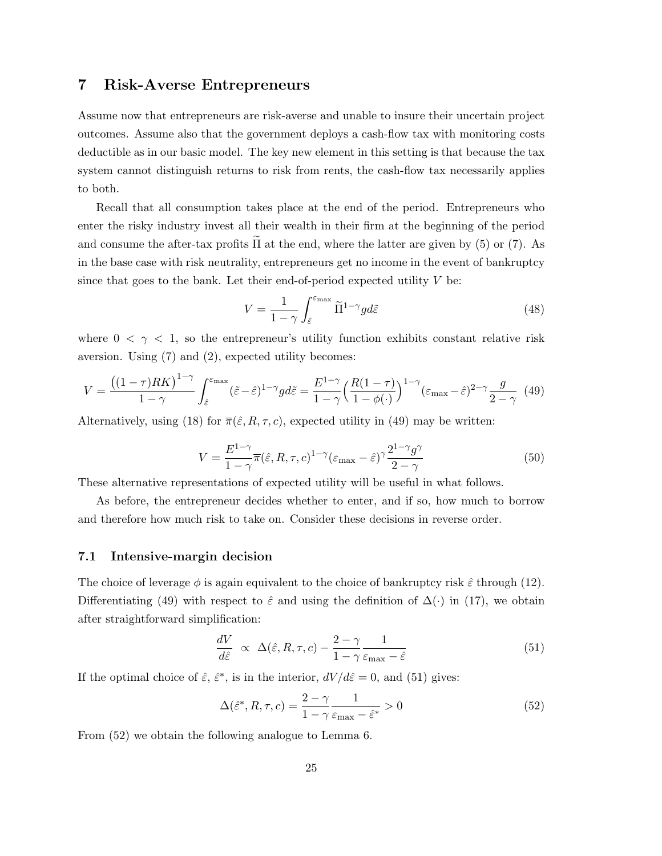### 7 Risk-Averse Entrepreneurs

Assume now that entrepreneurs are risk-averse and unable to insure their uncertain project outcomes. Assume also that the government deploys a cash-flow tax with monitoring costs deductible as in our basic model. The key new element in this setting is that because the tax system cannot distinguish returns to risk from rents, the cash-flow tax necessarily applies to both.

Recall that all consumption takes place at the end of the period. Entrepreneurs who enter the risky industry invest all their wealth in their firm at the beginning of the period and consume the after-tax profits  $\tilde{\Pi}$  at the end, where the latter are given by (5) or (7). As in the base case with risk neutrality, entrepreneurs get no income in the event of bankruptcy since that goes to the bank. Let their end-of-period expected utility  $V$  be:

$$
V = \frac{1}{1 - \gamma} \int_{\hat{\varepsilon}}^{\varepsilon_{\text{max}}} \tilde{\Pi}^{1 - \gamma} g d\tilde{\varepsilon}
$$
 (48)

where  $0 < \gamma < 1$ , so the entrepreneur's utility function exhibits constant relative risk aversion. Using (7) and (2), expected utility becomes:

$$
V = \frac{\left((1-\tau)RK\right)^{1-\gamma}}{1-\gamma} \int_{\hat{\varepsilon}}^{\varepsilon_{\text{max}}} (\tilde{\varepsilon} - \hat{\varepsilon})^{1-\gamma} gd\tilde{\varepsilon} = \frac{E^{1-\gamma}}{1-\gamma} \Big(\frac{R(1-\tau)}{1-\phi(\cdot)}\Big)^{1-\gamma} (\varepsilon_{\text{max}} - \hat{\varepsilon})^{2-\gamma} \frac{g}{2-\gamma} \tag{49}
$$

Alternatively, using (18) for  $\overline{\pi}(\hat{\varepsilon}, R, \tau, c)$ , expected utility in (49) may be written:

$$
V = \frac{E^{1-\gamma}}{1-\gamma} \overline{\pi}(\hat{\varepsilon}, R, \tau, c)^{1-\gamma} (\varepsilon_{\text{max}} - \hat{\varepsilon})^{\gamma} \frac{2^{1-\gamma} g^{\gamma}}{2-\gamma}
$$
(50)

These alternative representations of expected utility will be useful in what follows.

As before, the entrepreneur decides whether to enter, and if so, how much to borrow and therefore how much risk to take on. Consider these decisions in reverse order.

#### 7.1 Intensive-margin decision

The choice of leverage  $\phi$  is again equivalent to the choice of bankruptcy risk  $\hat{\varepsilon}$  through (12). Differentiating (49) with respect to  $\hat{\varepsilon}$  and using the definition of  $\Delta(\cdot)$  in (17), we obtain after straightforward simplification:

$$
\frac{dV}{d\hat{\varepsilon}} \propto \Delta(\hat{\varepsilon}, R, \tau, c) - \frac{2 - \gamma}{1 - \gamma} \frac{1}{\varepsilon_{\text{max}} - \hat{\varepsilon}} \tag{51}
$$

If the optimal choice of  $\hat{\varepsilon}$ ,  $\hat{\varepsilon}^*$ , is in the interior,  $dV/d\hat{\varepsilon} = 0$ , and (51) gives:

$$
\Delta(\hat{\varepsilon}^*, R, \tau, c) = \frac{2 - \gamma}{1 - \gamma} \frac{1}{\varepsilon_{\text{max}} - \hat{\varepsilon}^*} > 0
$$
\n(52)

From (52) we obtain the following analogue to Lemma 6.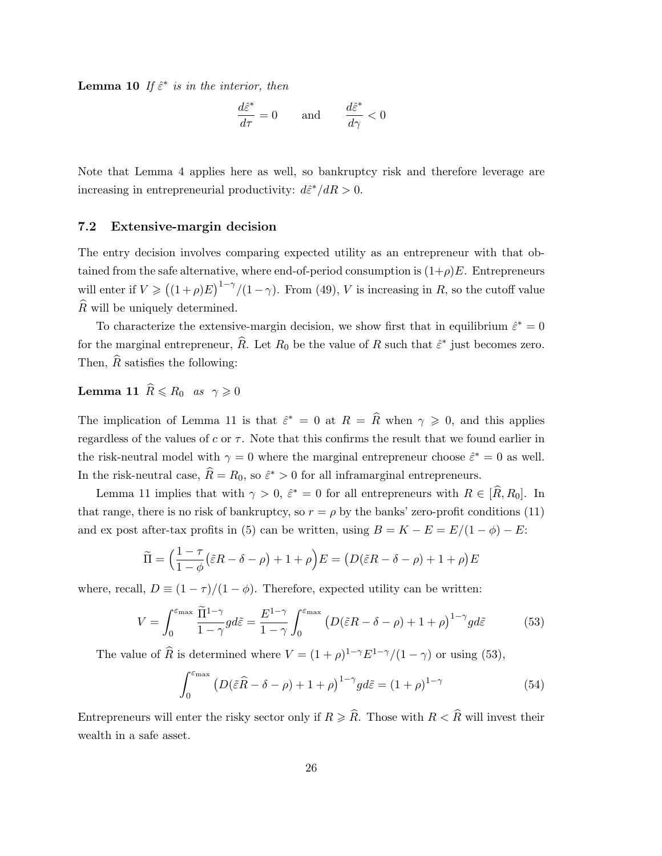**Lemma 10** If  $\hat{\epsilon}^*$  is in the interior, then

$$
\frac{d\hat{\varepsilon}^*}{d\tau} = 0 \quad \text{and} \quad \frac{d\hat{\varepsilon}^*}{d\gamma} < 0
$$

Note that Lemma 4 applies here as well, so bankruptcy risk and therefore leverage are increasing in entrepreneurial productivity:  $d\hat{\epsilon}^*/dR > 0$ .

#### 7.2 Extensive-margin decision

The entry decision involves comparing expected utility as an entrepreneur with that obtained from the safe alternative, where end-of-period consumption is  $(1+\rho)E$ . Entrepreneurs will enter if  $V \geq (1+\rho)E^{1-\gamma}/(1-\gamma)$ . From (49), V is increasing in R, so the cutoff value  $\widehat{R}$  will be uniquely determined.

To characterize the extensive-margin decision, we show first that in equilibrium  $\hat{\varepsilon}^* = 0$ for the marginal entrepreneur,  $\widehat{R}$ . Let  $R_0$  be the value of R such that  $\widehat{\varepsilon}^*$  just becomes zero. Then,  $\widehat{R}$  satisfies the following:

## **Lemma 11**  $\widehat{R} \le R_0$  as  $\gamma \ge 0$

The implication of Lemma 11 is that  $\hat{\varepsilon}^* = 0$  at  $R = \hat{R}$  when  $\gamma \geq 0$ , and this applies regardless of the values of  $c$  or  $\tau$ . Note that this confirms the result that we found earlier in the risk-neutral model with  $\gamma = 0$  where the marginal entrepreneur choose  $\hat{\varepsilon}^* = 0$  as well. In the risk-neutral case,  $\widehat{R} = R_0$ , so  $\widehat{\varepsilon}^* > 0$  for all inframarginal entrepreneurs.

Lemma 11 implies that with  $\gamma > 0$ ,  $\hat{\varepsilon}^* = 0$  for all entrepreneurs with  $R \in [\hat{R}, R_0]$ . In that range, there is no risk of bankruptcy, so  $r = \rho$  by the banks' zero-profit conditions (11) and ex post after-tax profits in (5) can be written, using  $B = K - E = E/(1 - \phi) - E$ :

$$
\widetilde{\Pi} = \left(\frac{1-\tau}{1-\phi}(\tilde{\varepsilon}R - \delta - \rho) + 1 + \rho\right)E = \left(D(\tilde{\varepsilon}R - \delta - \rho) + 1 + \rho\right)E
$$

where, recall,  $D \equiv (1 - \tau)/(1 - \phi)$ . Therefore, expected utility can be written:

$$
V = \int_0^{\varepsilon_{\text{max}}} \frac{\tilde{\Pi}^{1-\gamma}}{1-\gamma} g d\tilde{\varepsilon} = \frac{E^{1-\gamma}}{1-\gamma} \int_0^{\varepsilon_{\text{max}}} \left( D(\tilde{\varepsilon}R - \delta - \rho) + 1 + \rho \right)^{1-\gamma} g d\tilde{\varepsilon}
$$
(53)

The value of  $\widehat{R}$  is determined where  $V = (1 + \rho)^{1-\gamma} E^{1-\gamma}/(1-\gamma)$  or using (53),

$$
\int_0^{\varepsilon_{\max}} \left( D(\tilde{\varepsilon}\hat{R} - \delta - \rho) + 1 + \rho \right)^{1-\gamma} g d\tilde{\varepsilon} = (1+\rho)^{1-\gamma}
$$
 (54)

Entrepreneurs will enter the risky sector only if  $R \geq \widehat{R}$ . Those with  $R < \widehat{R}$  will invest their wealth in a safe asset.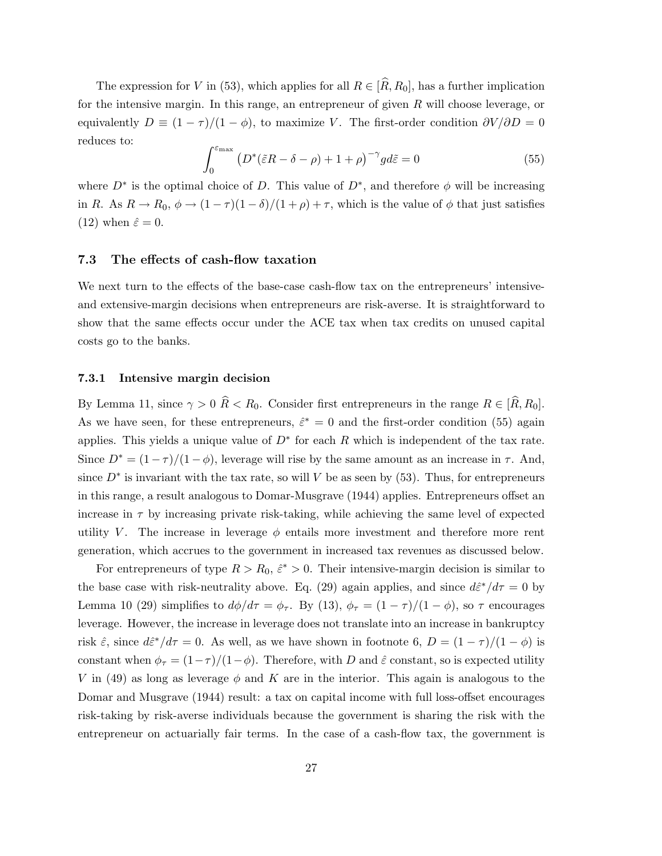The expression for V in (53), which applies for all  $R \in [\hat{R}, R_0]$ , has a further implication for the intensive margin. In this range, an entrepreneur of given  $R$  will choose leverage, or equivalently  $D \equiv (1 - \tau)/(1 - \phi)$ , to maximize V. The first-order condition  $\partial V/\partial D = 0$ reduces to:

$$
\int_0^{\varepsilon_{\max}} \left( D^* (\tilde{\varepsilon} R - \delta - \rho) + 1 + \rho \right)^{-\gamma} g d\tilde{\varepsilon} = 0 \tag{55}
$$

where  $D^*$  is the optimal choice of D. This value of  $D^*$ , and therefore  $\phi$  will be increasing in R. As  $R \to R_0$ ,  $\phi \to (1 - \tau)(1 - \delta)/(1 + \rho) + \tau$ , which is the value of  $\phi$  that just satisfies (12) when  $\hat{\varepsilon} = 0$ .

#### 7.3 The effects of cash-flow taxation

We next turn to the effects of the base-case cash-flow tax on the entrepreneurs' intensiveand extensive-margin decisions when entrepreneurs are risk-averse. It is straightforward to show that the same effects occur under the ACE tax when tax credits on unused capital costs go to the banks.

#### 7.3.1 Intensive margin decision

By Lemma 11, since  $\gamma > 0$   $\hat{R} < R_0$ . Consider first entrepreneurs in the range  $R \in [\hat{R}, R_0]$ . As we have seen, for these entrepreneurs,  $\hat{\varepsilon}^* = 0$  and the first-order condition (55) again applies. This yields a unique value of  $D^*$  for each R which is independent of the tax rate. Since  $D^* = (1 - \tau)/(1 - \phi)$ , leverage will rise by the same amount as an increase in  $\tau$ . And, since  $D^*$  is invariant with the tax rate, so will V be as seen by (53). Thus, for entrepreneurs in this range, a result analogous to Domar-Musgrave (1944) applies. Entrepreneurs offset an increase in  $\tau$  by increasing private risk-taking, while achieving the same level of expected utility V. The increase in leverage  $\phi$  entails more investment and therefore more rent generation, which accrues to the government in increased tax revenues as discussed below.

For entrepreneurs of type  $R > R_0$ ,  $\hat{\varepsilon}^* > 0$ . Their intensive-margin decision is similar to the base case with risk-neutrality above. Eq. (29) again applies, and since  $d\hat{\epsilon}^*/d\tau = 0$  by Lemma 10 (29) simplifies to  $d\phi/d\tau = \phi_{\tau}$ . By (13),  $\phi_{\tau} = (1 - \tau)/(1 - \phi)$ , so  $\tau$  encourages leverage. However, the increase in leverage does not translate into an increase in bankruptcy risk  $\hat{\varepsilon}$ , since  $d\hat{\varepsilon}^*/d\tau = 0$ . As well, as we have shown in footnote 6,  $D = (1 - \tau)/(1 - \phi)$  is constant when  $\phi_{\tau} = (1 - \tau)/(1 - \phi)$ . Therefore, with D and  $\hat{\varepsilon}$  constant, so is expected utility V in (49) as long as leverage  $\phi$  and K are in the interior. This again is analogous to the Domar and Musgrave (1944) result: a tax on capital income with full loss-offset encourages risk-taking by risk-averse individuals because the government is sharing the risk with the entrepreneur on actuarially fair terms. In the case of a cash-flow tax, the government is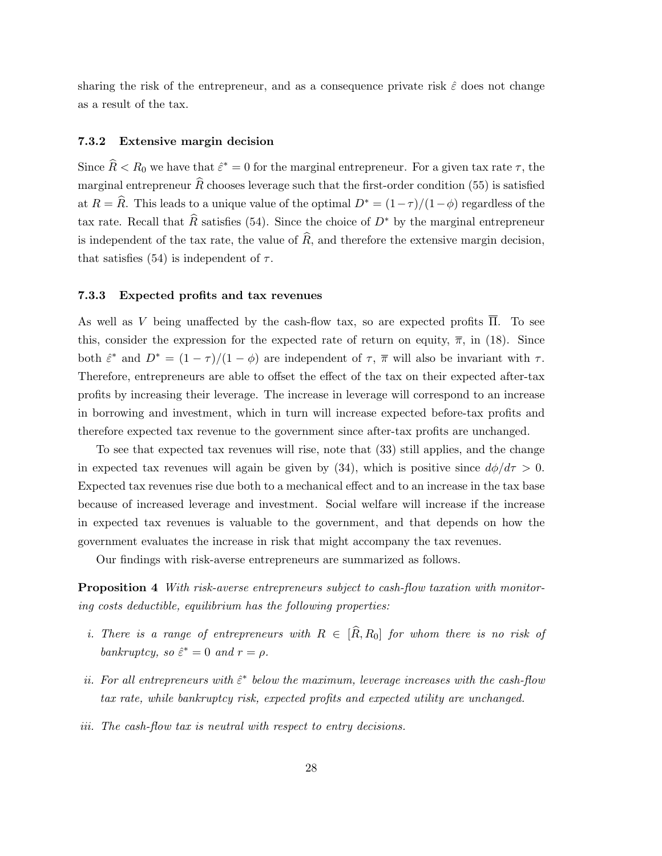sharing the risk of the entrepreneur, and as a consequence private risk  $\hat{\varepsilon}$  does not change as a result of the tax.

#### 7.3.2 Extensive margin decision

Since  $\widehat{R} < R_0$  we have that  $\widehat{\varepsilon}^* = 0$  for the marginal entrepreneur. For a given tax rate  $\tau$ , the marginal entrepreneur  $\widehat{R}$  chooses leverage such that the first-order condition (55) is satisfied at  $R = \hat{R}$ . This leads to a unique value of the optimal  $D^* = (1 - \tau)/(1 - \phi)$  regardless of the tax rate. Recall that  $\widehat{R}$  satisfies (54). Since the choice of  $D^*$  by the marginal entrepreneur is independent of the tax rate, the value of  $\widehat{R}$ , and therefore the extensive margin decision, that satisfies (54) is independent of  $\tau$ .

#### 7.3.3 Expected profits and tax revenues

As well as V being unaffected by the cash-flow tax, so are expected profits Π. To see this, consider the expression for the expected rate of return on equity,  $\overline{\pi}$ , in (18). Since both  $\hat{\varepsilon}^*$  and  $D^* = (1 - \tau)/(1 - \phi)$  are independent of  $\tau$ ,  $\overline{\pi}$  will also be invariant with  $\tau$ . Therefore, entrepreneurs are able to offset the effect of the tax on their expected after-tax profits by increasing their leverage. The increase in leverage will correspond to an increase in borrowing and investment, which in turn will increase expected before-tax profits and therefore expected tax revenue to the government since after-tax profits are unchanged.

To see that expected tax revenues will rise, note that (33) still applies, and the change in expected tax revenues will again be given by (34), which is positive since  $d\phi/d\tau > 0$ . Expected tax revenues rise due both to a mechanical effect and to an increase in the tax base because of increased leverage and investment. Social welfare will increase if the increase in expected tax revenues is valuable to the government, and that depends on how the government evaluates the increase in risk that might accompany the tax revenues.

Our findings with risk-averse entrepreneurs are summarized as follows.

Proposition 4 With risk-averse entrepreneurs subject to cash-flow taxation with monitoring costs deductible, equilibrium has the following properties:

- i. There is a range of entrepreneurs with  $R \in [\hat{R}, R_0]$  for whom there is no risk of bankruptcy, so  $\hat{\varepsilon}^* = 0$  and  $r = \rho$ .
- ii. For all entrepreneurs with  $\hat{\varepsilon}^*$  below the maximum, leverage increases with the cash-flow tax rate, while bankruptcy risk, expected profits and expected utility are unchanged.
- iii. The cash-flow tax is neutral with respect to entry decisions.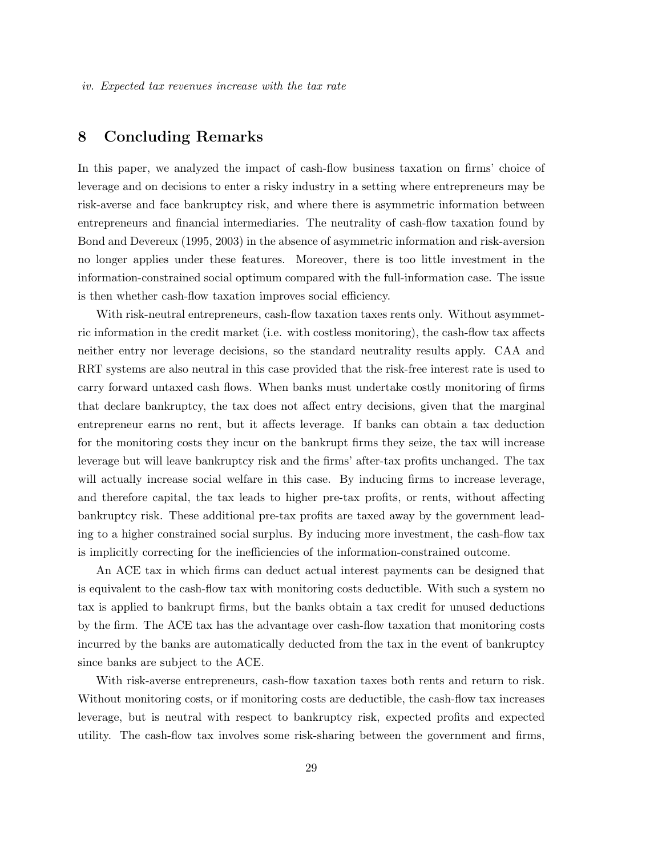### 8 Concluding Remarks

In this paper, we analyzed the impact of cash-flow business taxation on firms' choice of leverage and on decisions to enter a risky industry in a setting where entrepreneurs may be risk-averse and face bankruptcy risk, and where there is asymmetric information between entrepreneurs and financial intermediaries. The neutrality of cash-flow taxation found by Bond and Devereux (1995, 2003) in the absence of asymmetric information and risk-aversion no longer applies under these features. Moreover, there is too little investment in the information-constrained social optimum compared with the full-information case. The issue is then whether cash-flow taxation improves social efficiency.

With risk-neutral entrepreneurs, cash-flow taxation taxes rents only. Without asymmetric information in the credit market (i.e. with costless monitoring), the cash-flow tax affects neither entry nor leverage decisions, so the standard neutrality results apply. CAA and RRT systems are also neutral in this case provided that the risk-free interest rate is used to carry forward untaxed cash flows. When banks must undertake costly monitoring of firms that declare bankruptcy, the tax does not affect entry decisions, given that the marginal entrepreneur earns no rent, but it affects leverage. If banks can obtain a tax deduction for the monitoring costs they incur on the bankrupt firms they seize, the tax will increase leverage but will leave bankruptcy risk and the firms' after-tax profits unchanged. The tax will actually increase social welfare in this case. By inducing firms to increase leverage, and therefore capital, the tax leads to higher pre-tax profits, or rents, without affecting bankruptcy risk. These additional pre-tax profits are taxed away by the government leading to a higher constrained social surplus. By inducing more investment, the cash-flow tax is implicitly correcting for the inefficiencies of the information-constrained outcome.

An ACE tax in which firms can deduct actual interest payments can be designed that is equivalent to the cash-flow tax with monitoring costs deductible. With such a system no tax is applied to bankrupt firms, but the banks obtain a tax credit for unused deductions by the firm. The ACE tax has the advantage over cash-flow taxation that monitoring costs incurred by the banks are automatically deducted from the tax in the event of bankruptcy since banks are subject to the ACE.

With risk-averse entrepreneurs, cash-flow taxation taxes both rents and return to risk. Without monitoring costs, or if monitoring costs are deductible, the cash-flow tax increases leverage, but is neutral with respect to bankruptcy risk, expected profits and expected utility. The cash-flow tax involves some risk-sharing between the government and firms,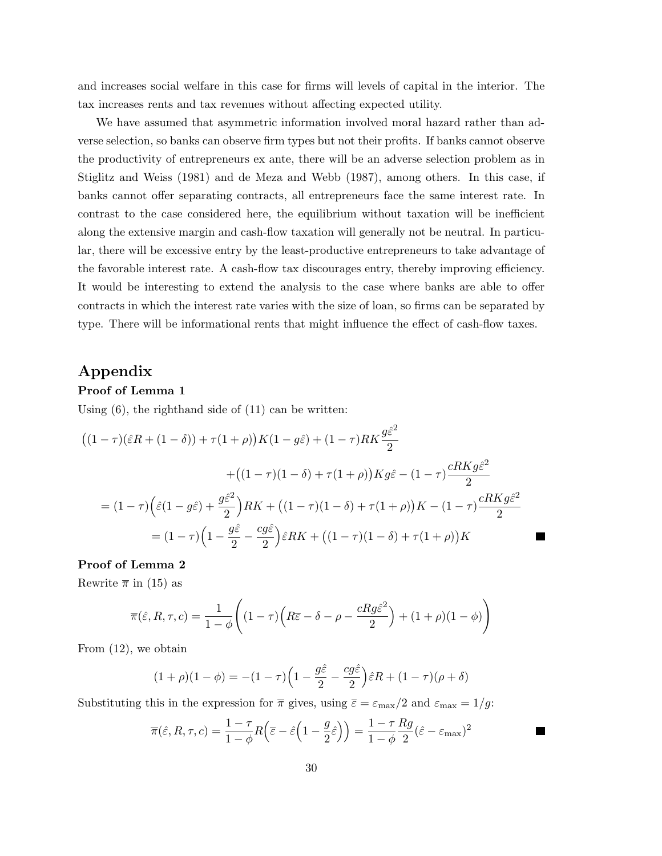and increases social welfare in this case for firms will levels of capital in the interior. The tax increases rents and tax revenues without affecting expected utility.

We have assumed that asymmetric information involved moral hazard rather than adverse selection, so banks can observe firm types but not their profits. If banks cannot observe the productivity of entrepreneurs ex ante, there will be an adverse selection problem as in Stiglitz and Weiss (1981) and de Meza and Webb (1987), among others. In this case, if banks cannot offer separating contracts, all entrepreneurs face the same interest rate. In contrast to the case considered here, the equilibrium without taxation will be inefficient along the extensive margin and cash-flow taxation will generally not be neutral. In particular, there will be excessive entry by the least-productive entrepreneurs to take advantage of the favorable interest rate. A cash-flow tax discourages entry, thereby improving efficiency. It would be interesting to extend the analysis to the case where banks are able to offer contracts in which the interest rate varies with the size of loan, so firms can be separated by type. There will be informational rents that might influence the effect of cash-flow taxes.

### Appendix

#### Proof of Lemma 1

Using (6), the righthand side of (11) can be written:

$$
((1 - \tau)(\hat{\varepsilon}R + (1 - \delta)) + \tau(1 + \rho))K(1 - g\hat{\varepsilon}) + (1 - \tau)RK\frac{g\hat{\varepsilon}^2}{2}
$$

$$
+((1 - \tau)(1 - \delta) + \tau(1 + \rho))Kg\hat{\varepsilon} - (1 - \tau)\frac{cRKg\hat{\varepsilon}^2}{2}
$$

$$
= (1 - \tau)\left(\hat{\varepsilon}(1 - g\hat{\varepsilon}) + \frac{g\hat{\varepsilon}^2}{2}\right)RK + ((1 - \tau)(1 - \delta) + \tau(1 + \rho))K - (1 - \tau)\frac{cRKg\hat{\varepsilon}^2}{2}
$$

$$
= (1 - \tau)\left(1 - \frac{g\hat{\varepsilon}}{2} - \frac{cg\hat{\varepsilon}}{2}\right)\hat{\varepsilon}RK + ((1 - \tau)(1 - \delta) + \tau(1 + \rho))K
$$

٠

#### Proof of Lemma 2

Rewrite  $\bar{\pi}$  in (15) as

$$
\overline{\pi}(\hat{\varepsilon}, R, \tau, c) = \frac{1}{1 - \phi} \Bigg( (1 - \tau) \Big( R \overline{\varepsilon} - \delta - \rho - \frac{c R g \hat{\varepsilon}^2}{2} \Big) + (1 + \rho)(1 - \phi) \Bigg)
$$

From (12), we obtain

$$
(1+\rho)(1-\phi) = -(1-\tau)\left(1-\frac{g\hat{\varepsilon}}{2} - \frac{cg\hat{\varepsilon}}{2}\right)\hat{\varepsilon}R + (1-\tau)(\rho+\delta)
$$

Substituting this in the expression for  $\bar{\pi}$  gives, using  $\bar{\varepsilon} = \varepsilon_{\text{max}}/2$  and  $\varepsilon_{\text{max}} = 1/g$ :

$$
\overline{\pi}(\hat{\varepsilon}, R, \tau, c) = \frac{1 - \tau}{1 - \phi} R(\overline{\varepsilon} - \hat{\varepsilon} \left(1 - \frac{g}{2}\hat{\varepsilon}\right)) = \frac{1 - \tau}{1 - \phi} \frac{Rg}{2} (\hat{\varepsilon} - \varepsilon_{\text{max}})^2
$$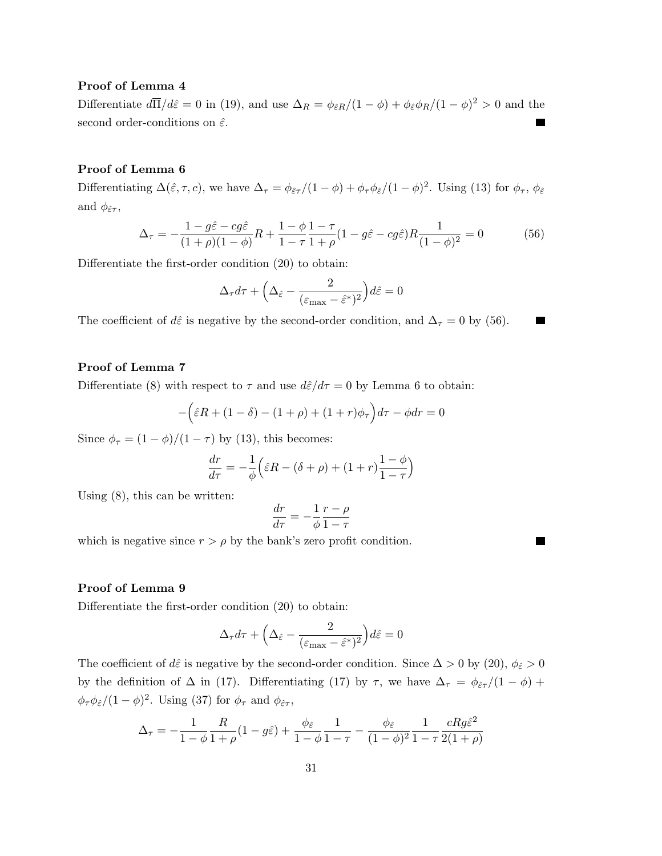#### Proof of Lemma 4

Differentiate  $d\overline{\Pi}/d\hat{\varepsilon} = 0$  in (19), and use  $\Delta_R = \phi_{\hat{\varepsilon}R}/(1-\phi) + \phi_{\hat{\varepsilon}}\phi_R/(1-\phi)^2 > 0$  and the second order-conditions on  $\hat{\varepsilon}$ .

#### Proof of Lemma 6

Differentiating  $\Delta(\hat{\varepsilon}, \tau, c)$ , we have  $\Delta_{\tau} = \phi_{\hat{\varepsilon}\tau}/(1-\phi) + \phi_{\tau}\phi_{\hat{\varepsilon}}/(1-\phi)^2$ . Using (13) for  $\phi_{\tau}$ ,  $\phi_{\hat{\varepsilon}}$ and  $\phi_{\hat{\varepsilon}\tau}$ ,

$$
\Delta_{\tau} = -\frac{1 - g\hat{\varepsilon} - cg\hat{\varepsilon}}{(1 + \rho)(1 - \phi)}R + \frac{1 - \phi}{1 - \tau}\frac{1 - \tau}{1 + \rho}(1 - g\hat{\varepsilon} - cg\hat{\varepsilon})R\frac{1}{(1 - \phi)^2} = 0\tag{56}
$$

**Contract** 

 $\blacksquare$ 

Differentiate the first-order condition (20) to obtain:

$$
\Delta_{\tau} d\tau + \Big(\Delta_{\hat{\varepsilon}} - \frac{2}{(\varepsilon_{\text{max}} - \hat{\varepsilon}^*)^2}\Big) d\hat{\varepsilon} = 0
$$

The coefficient of  $d\hat{\varepsilon}$  is negative by the second-order condition, and  $\Delta_{\tau} = 0$  by (56).

#### Proof of Lemma 7

Differentiate (8) with respect to  $\tau$  and use  $d\hat{\varepsilon}/d\tau = 0$  by Lemma 6 to obtain:

$$
-\left(\hat{\varepsilon}R + (1-\delta) - (1+\rho) + (1+r)\phi_{\tau}\right)d\tau - \phi dr = 0
$$

Since  $\phi_{\tau} = (1 - \phi)/(1 - \tau)$  by (13), this becomes:

$$
\frac{dr}{d\tau} = -\frac{1}{\phi} \left( \hat{\varepsilon} R - (\delta + \rho) + (1 + r) \frac{1 - \phi}{1 - \tau} \right)
$$

Using (8), this can be written:

$$
\frac{dr}{d\tau} = -\frac{1}{\phi} \frac{r - \rho}{1 - \tau}
$$

which is negative since  $r > \rho$  by the bank's zero profit condition.

#### Proof of Lemma 9

Differentiate the first-order condition (20) to obtain:

$$
\Delta_{\tau} d\tau + \Big(\Delta_{\hat{\varepsilon}} - \frac{2}{(\varepsilon_{\max} - \hat{\varepsilon}^*)^2}\Big) d\hat{\varepsilon} = 0
$$

The coefficient of d $\hat{\varepsilon}$  is negative by the second-order condition. Since  $\Delta > 0$  by (20),  $\phi_{\hat{\varepsilon}} > 0$ by the definition of  $\Delta$  in (17). Differentiating (17) by  $\tau$ , we have  $\Delta_{\tau} = \phi_{\hat{\epsilon}\tau}/(1-\phi)$  +  $\phi_{\tau}\phi_{\hat{\varepsilon}}/(1-\phi)^2$ . Using (37) for  $\phi_{\tau}$  and  $\phi_{\hat{\varepsilon}\tau}$ ,

$$
\Delta_{\tau} = -\frac{1}{1-\phi} \frac{R}{1+\rho} (1-g\hat{\varepsilon}) + \frac{\phi_{\hat{\varepsilon}}}{1-\phi} \frac{1}{1-\tau} - \frac{\phi_{\hat{\varepsilon}}}{(1-\phi)^2} \frac{1}{1-\tau} \frac{cRg\hat{\varepsilon}^2}{2(1+\rho)}
$$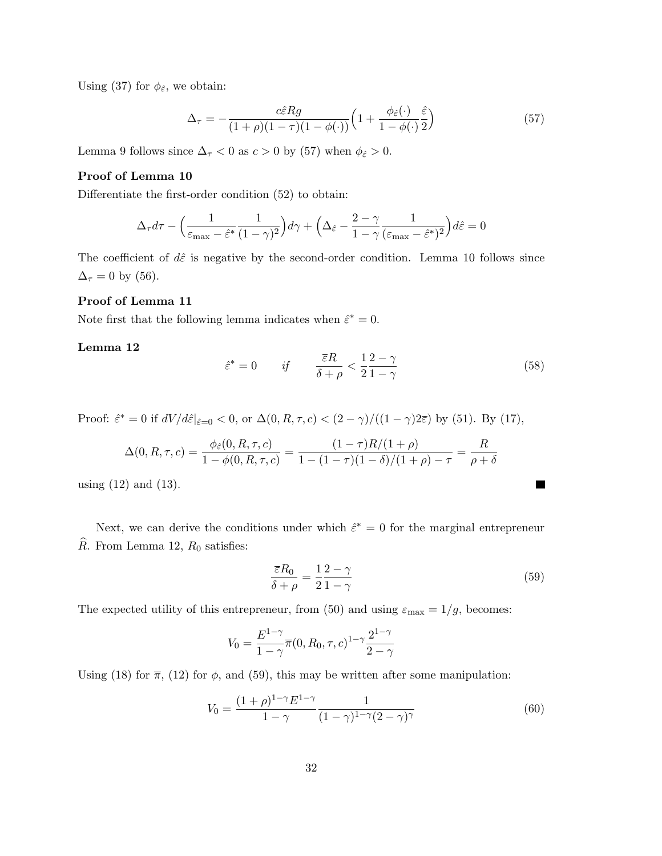Using (37) for  $\phi_{\hat{\varepsilon}}$ , we obtain:

$$
\Delta_{\tau} = -\frac{c\hat{\varepsilon}Rg}{(1+\rho)(1-\tau)(1-\phi(\cdot))}\left(1+\frac{\phi_{\hat{\varepsilon}}(\cdot)}{1-\phi(\cdot)}\frac{\hat{\varepsilon}}{2}\right) \tag{57}
$$

Lemma 9 follows since  $\Delta_{\tau}$  < 0 as  $c > 0$  by (57) when  $\phi_{\hat{\varepsilon}} > 0$ .

#### Proof of Lemma 10

Differentiate the first-order condition (52) to obtain:

$$
\Delta_{\tau}d\tau - \left(\frac{1}{\varepsilon_{\max} - \hat{\varepsilon}^*} \frac{1}{(1 - \gamma)^2}\right) d\gamma + \left(\Delta_{\hat{\varepsilon}} - \frac{2 - \gamma}{1 - \gamma} \frac{1}{(\varepsilon_{\max} - \hat{\varepsilon}^*)^2}\right) d\hat{\varepsilon} = 0
$$

The coefficient of  $d\hat{\varepsilon}$  is negative by the second-order condition. Lemma 10 follows since  $\Delta_{\tau} = 0$  by (56).

#### Proof of Lemma 11

Note first that the following lemma indicates when  $\hat{\varepsilon}^* = 0$ .

Lemma 12

$$
\hat{\varepsilon}^* = 0 \qquad \text{if} \qquad \frac{\overline{\varepsilon}R}{\delta + \rho} < \frac{1}{2} \frac{2 - \gamma}{1 - \gamma} \tag{58}
$$

Proof:  $\hat{\varepsilon}^* = 0$  if  $dV/d\hat{\varepsilon}|_{\hat{\varepsilon}=0} < 0$ , or  $\Delta(0, R, \tau, c) < (2 - \gamma)/((1 - \gamma)2\bar{\varepsilon})$  by (51). By (17),

$$
\Delta(0, R, \tau, c) = \frac{\phi_{\hat{\varepsilon}}(0, R, \tau, c)}{1 - \phi(0, R, \tau, c)} = \frac{(1 - \tau)R/(1 + \rho)}{1 - (1 - \tau)(1 - \delta)/(1 + \rho) - \tau} = \frac{R}{\rho + \delta}
$$

using  $(12)$  and  $(13)$ .

Next, we can derive the conditions under which  $\hat{\varepsilon}^* = 0$  for the marginal entrepreneur  $\widehat{R}$ . From Lemma 12,  $R_0$  satisfies:

$$
\frac{\overline{\varepsilon}R_0}{\delta + \rho} = \frac{1}{2} \frac{2 - \gamma}{1 - \gamma} \tag{59}
$$

П

The expected utility of this entrepreneur, from (50) and using  $\varepsilon_{\text{max}} = 1/g$ , becomes:

$$
V_0 = \frac{E^{1-\gamma}}{1-\gamma} \overline{\pi}(0, R_0, \tau, c)^{1-\gamma} \frac{2^{1-\gamma}}{2-\gamma}
$$

Using (18) for  $\overline{\pi}$ , (12) for  $\phi$ , and (59), this may be written after some manipulation:

$$
V_0 = \frac{(1+\rho)^{1-\gamma} E^{1-\gamma}}{1-\gamma} \frac{1}{(1-\gamma)^{1-\gamma}(2-\gamma)^{\gamma}}
$$
(60)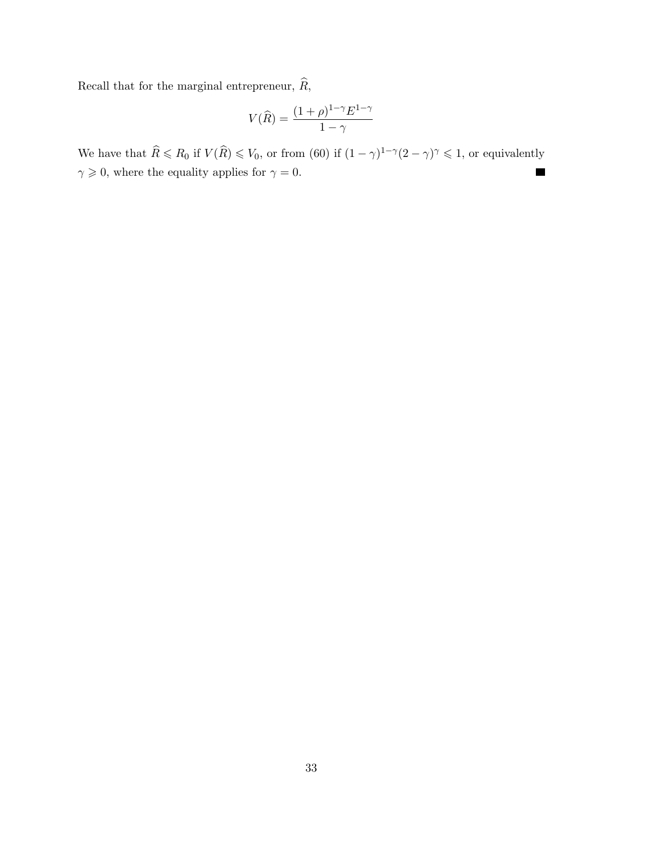Recall that for the marginal entrepreneur,  $\widehat{R},$ 

$$
V(\widehat{R}) = \frac{(1+\rho)^{1-\gamma}E^{1-\gamma}}{1-\gamma}
$$

We have that  $\widehat{R} \le R_0$  if  $V(\widehat{R}) \le V_0$ , or from (60) if  $(1 - \gamma)^{1-\gamma} (2 - \gamma)^{\gamma} \le 1$ , or equivalently  $\gamma\geqslant 0,$  where the equality applies for  $\gamma=0.$  $\blacksquare$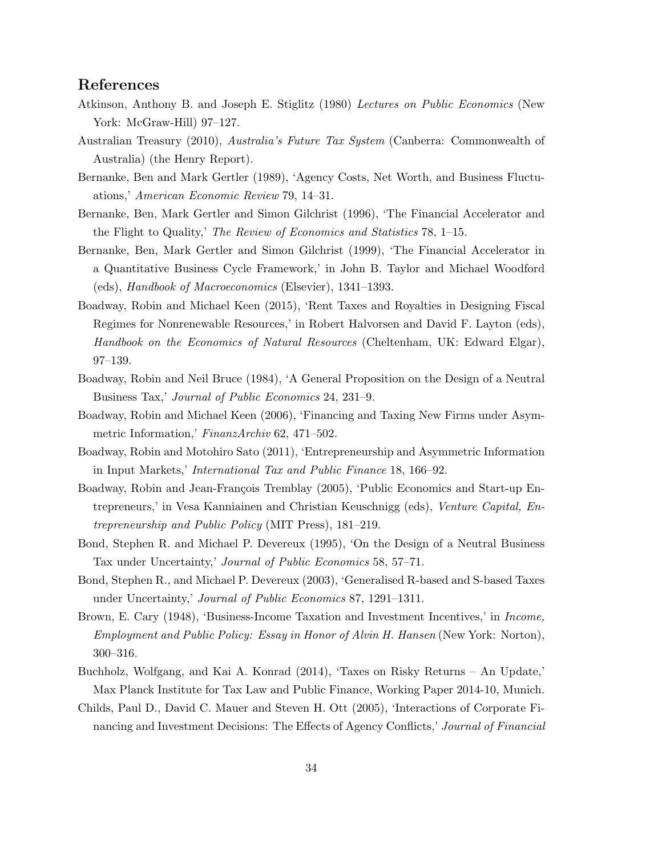### References

- Atkinson, Anthony B. and Joseph E. Stiglitz (1980) Lectures on Public Economics (New York: McGraw-Hill) 97–127.
- Australian Treasury (2010), Australia's Future Tax System (Canberra: Commonwealth of Australia) (the Henry Report).
- Bernanke, Ben and Mark Gertler (1989), 'Agency Costs, Net Worth, and Business Fluctuations,' American Economic Review 79, 14–31.
- Bernanke, Ben, Mark Gertler and Simon Gilchrist (1996), 'The Financial Accelerator and the Flight to Quality,' The Review of Economics and Statistics 78, 1–15.
- Bernanke, Ben, Mark Gertler and Simon Gilchrist (1999), 'The Financial Accelerator in a Quantitative Business Cycle Framework,' in John B. Taylor and Michael Woodford (eds), Handbook of Macroeconomics (Elsevier), 1341–1393.
- Boadway, Robin and Michael Keen (2015), 'Rent Taxes and Royalties in Designing Fiscal Regimes for Nonrenewable Resources,' in Robert Halvorsen and David F. Layton (eds), Handbook on the Economics of Natural Resources (Cheltenham, UK: Edward Elgar), 97–139.
- Boadway, Robin and Neil Bruce (1984), 'A General Proposition on the Design of a Neutral Business Tax,' Journal of Public Economics 24, 231–9.
- Boadway, Robin and Michael Keen (2006), 'Financing and Taxing New Firms under Asymmetric Information,' FinanzArchiv 62, 471–502.
- Boadway, Robin and Motohiro Sato (2011), 'Entrepreneurship and Asymmetric Information in Input Markets,' International Tax and Public Finance 18, 166–92.
- Boadway, Robin and Jean-François Tremblay (2005), 'Public Economics and Start-up Entrepreneurs,' in Vesa Kanniainen and Christian Keuschnigg (eds), Venture Capital, Entrepreneurship and Public Policy (MIT Press), 181–219.
- Bond, Stephen R. and Michael P. Devereux (1995), 'On the Design of a Neutral Business Tax under Uncertainty,' Journal of Public Economics 58, 57–71.
- Bond, Stephen R., and Michael P. Devereux (2003), 'Generalised R-based and S-based Taxes under Uncertainty,' Journal of Public Economics 87, 1291–1311.
- Brown, E. Cary (1948), 'Business-Income Taxation and Investment Incentives,' in Income, Employment and Public Policy: Essay in Honor of Alvin H. Hansen (New York: Norton), 300–316.
- Buchholz, Wolfgang, and Kai A. Konrad (2014), 'Taxes on Risky Returns An Update,' Max Planck Institute for Tax Law and Public Finance, Working Paper 2014-10, Munich.
- Childs, Paul D., David C. Mauer and Steven H. Ott (2005), 'Interactions of Corporate Financing and Investment Decisions: The Effects of Agency Conflicts,' Journal of Financial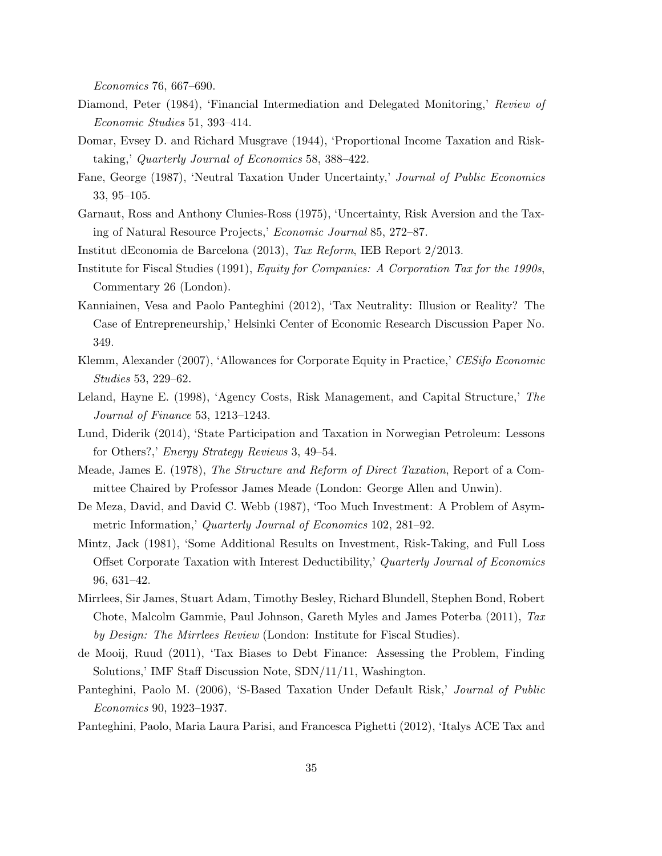Economics 76, 667–690.

- Diamond, Peter (1984), 'Financial Intermediation and Delegated Monitoring,' Review of Economic Studies 51, 393–414.
- Domar, Evsey D. and Richard Musgrave (1944), 'Proportional Income Taxation and Risktaking,' Quarterly Journal of Economics 58, 388–422.
- Fane, George (1987), 'Neutral Taxation Under Uncertainty,' Journal of Public Economics 33, 95–105.
- Garnaut, Ross and Anthony Clunies-Ross (1975), 'Uncertainty, Risk Aversion and the Taxing of Natural Resource Projects,' Economic Journal 85, 272–87.

Institut dEconomia de Barcelona (2013), Tax Reform, IEB Report 2/2013.

- Institute for Fiscal Studies (1991), Equity for Companies: A Corporation Tax for the 1990s, Commentary 26 (London).
- Kanniainen, Vesa and Paolo Panteghini (2012), 'Tax Neutrality: Illusion or Reality? The Case of Entrepreneurship,' Helsinki Center of Economic Research Discussion Paper No. 349.
- Klemm, Alexander (2007), 'Allowances for Corporate Equity in Practice,' CESifo Economic Studies 53, 229–62.
- Leland, Hayne E. (1998), 'Agency Costs, Risk Management, and Capital Structure,' The Journal of Finance 53, 1213–1243.
- Lund, Diderik (2014), 'State Participation and Taxation in Norwegian Petroleum: Lessons for Others?,' Energy Strategy Reviews 3, 49–54.
- Meade, James E. (1978), The Structure and Reform of Direct Taxation, Report of a Committee Chaired by Professor James Meade (London: George Allen and Unwin).
- De Meza, David, and David C. Webb (1987), 'Too Much Investment: A Problem of Asymmetric Information,' Quarterly Journal of Economics 102, 281–92.
- Mintz, Jack (1981), 'Some Additional Results on Investment, Risk-Taking, and Full Loss Offset Corporate Taxation with Interest Deductibility,' Quarterly Journal of Economics 96, 631–42.
- Mirrlees, Sir James, Stuart Adam, Timothy Besley, Richard Blundell, Stephen Bond, Robert Chote, Malcolm Gammie, Paul Johnson, Gareth Myles and James Poterba (2011), Tax by Design: The Mirrlees Review (London: Institute for Fiscal Studies).
- de Mooij, Ruud (2011), 'Tax Biases to Debt Finance: Assessing the Problem, Finding Solutions,' IMF Staff Discussion Note, SDN/11/11, Washington.
- Panteghini, Paolo M. (2006), 'S-Based Taxation Under Default Risk,' Journal of Public Economics 90, 1923–1937.
- Panteghini, Paolo, Maria Laura Parisi, and Francesca Pighetti (2012), 'Italys ACE Tax and